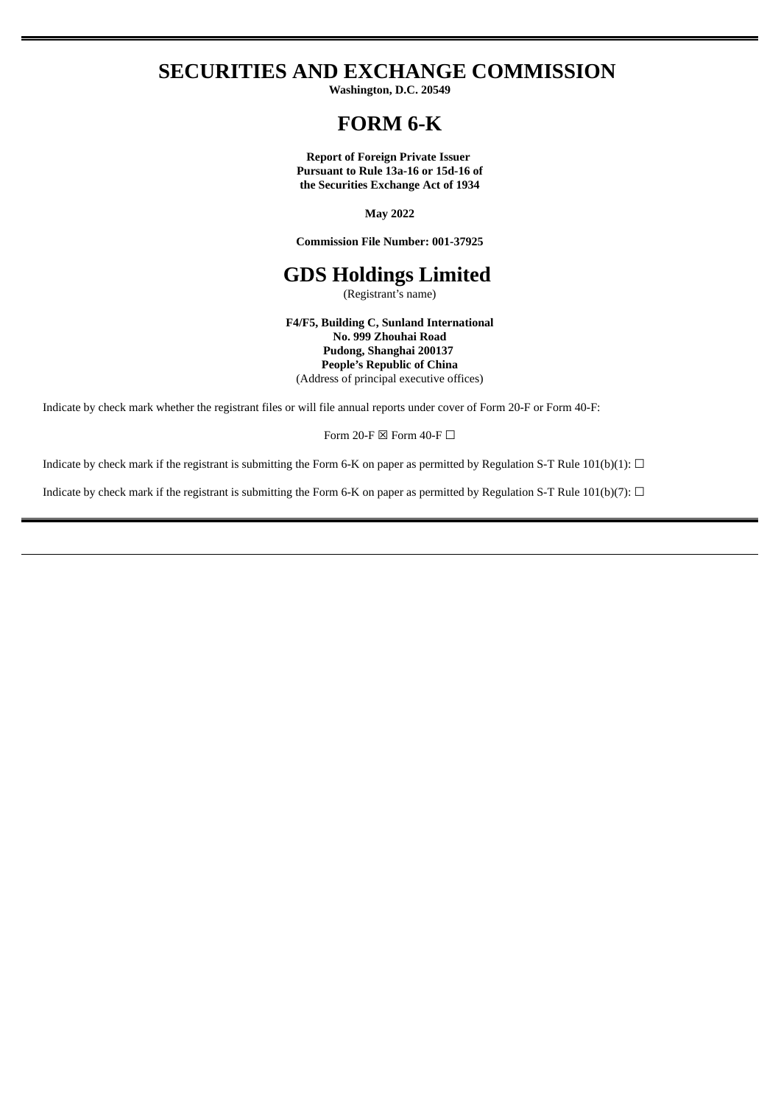# **SECURITIES AND EXCHANGE COMMISSION**

**Washington, D.C. 20549**

# **FORM 6-K**

**Report of Foreign Private Issuer Pursuant to Rule 13a-16 or 15d-16 of the Securities Exchange Act of 1934**

**May 2022**

**Commission File Number: 001-37925**

# **GDS Holdings Limited**

(Registrant's name)

**F4/F5, Building C, Sunland International No. 999 Zhouhai Road Pudong, Shanghai 200137 People's Republic of China** (Address of principal executive offices)

Indicate by check mark whether the registrant files or will file annual reports under cover of Form 20-F or Form 40-F:

Form 20-F  $\boxtimes$  Form 40-F  $\Box$ 

Indicate by check mark if the registrant is submitting the Form 6-K on paper as permitted by Regulation S-T Rule 101(b)(1):  $\Box$ 

Indicate by check mark if the registrant is submitting the Form 6-K on paper as permitted by Regulation S-T Rule 101(b)(7):  $\Box$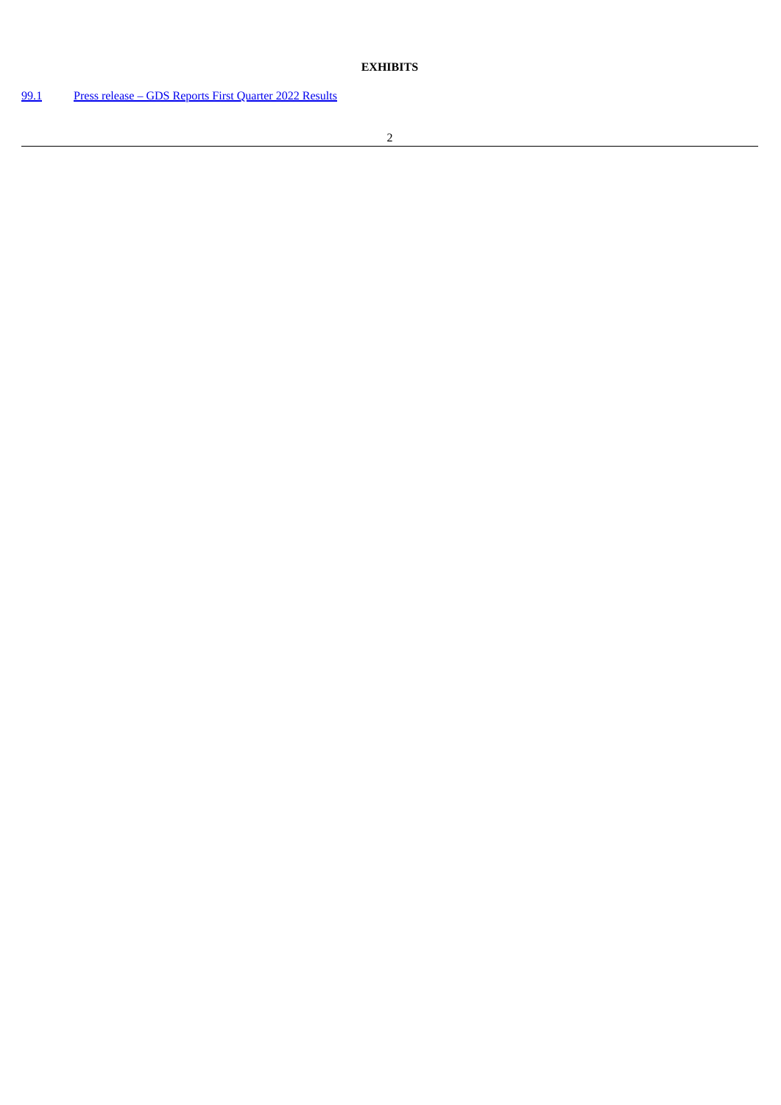## **EXHIBITS**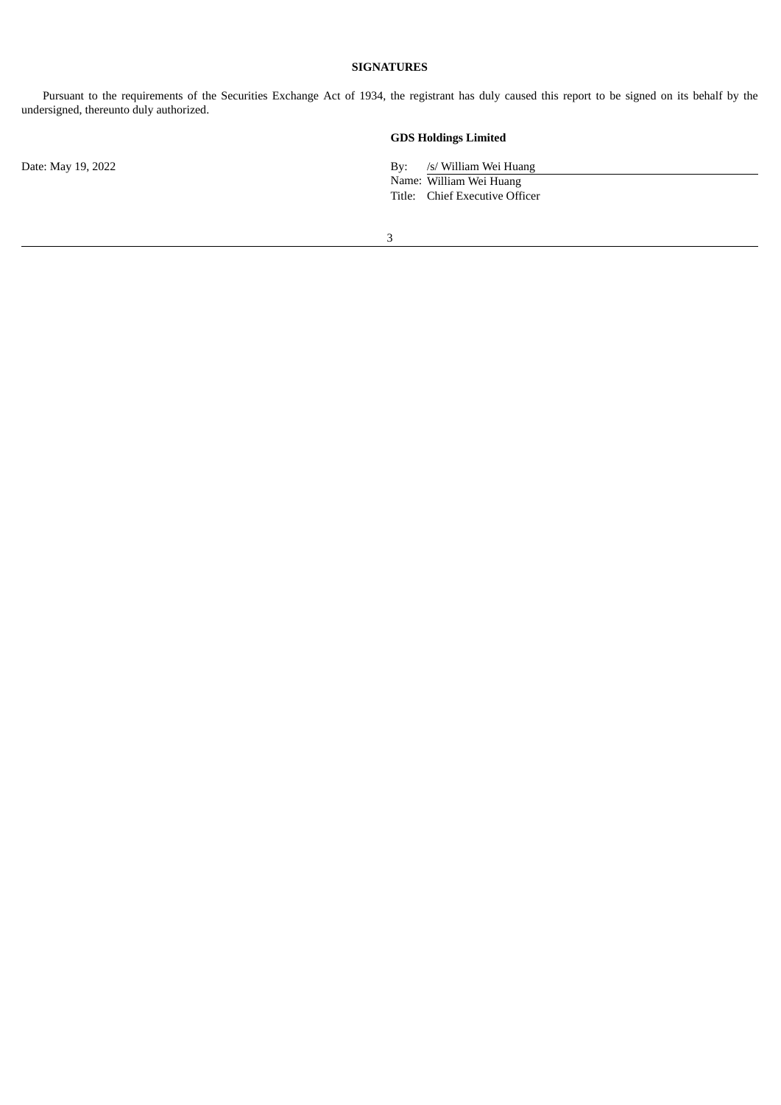## **SIGNATURES**

Pursuant to the requirements of the Securities Exchange Act of 1934, the registrant has duly caused this report to be signed on its behalf by the undersigned, thereunto duly authorized.

## **GDS Holdings Limited**

Date: May 19, 2022 By: /s/ William Wei Huang

Name: William Wei Huang Title: Chief Executive Officer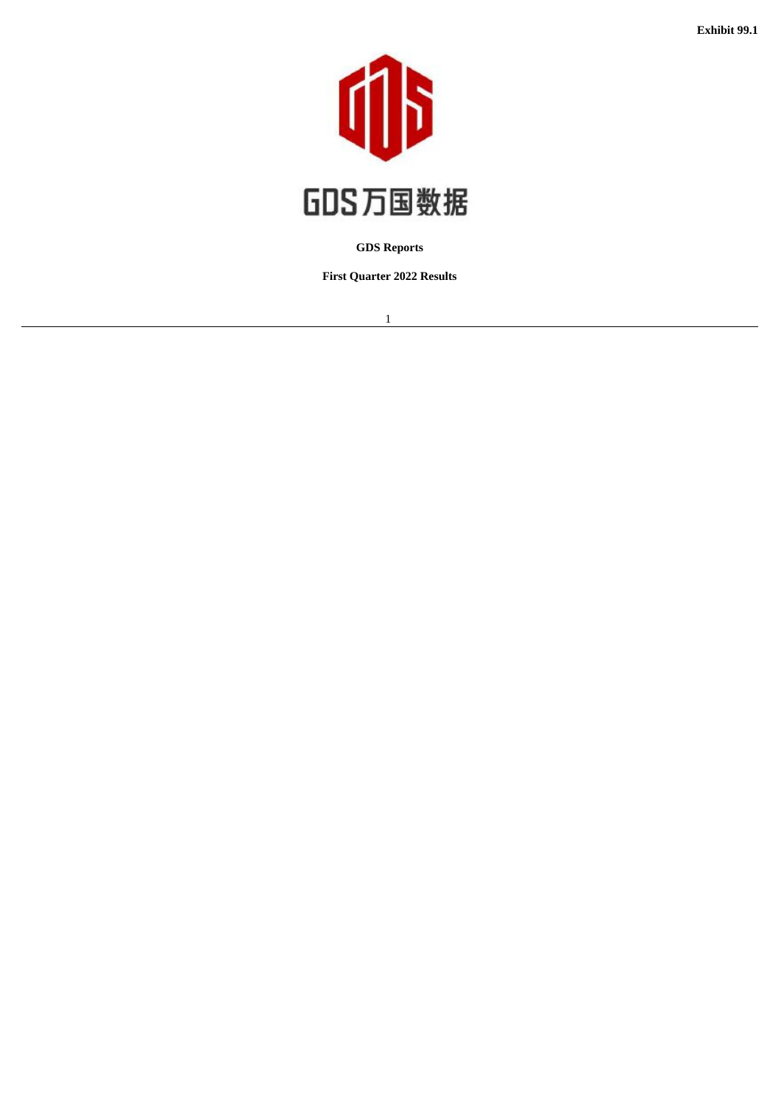<span id="page-3-0"></span>

## **GDS Reports**

**First Quarter 2022 Results**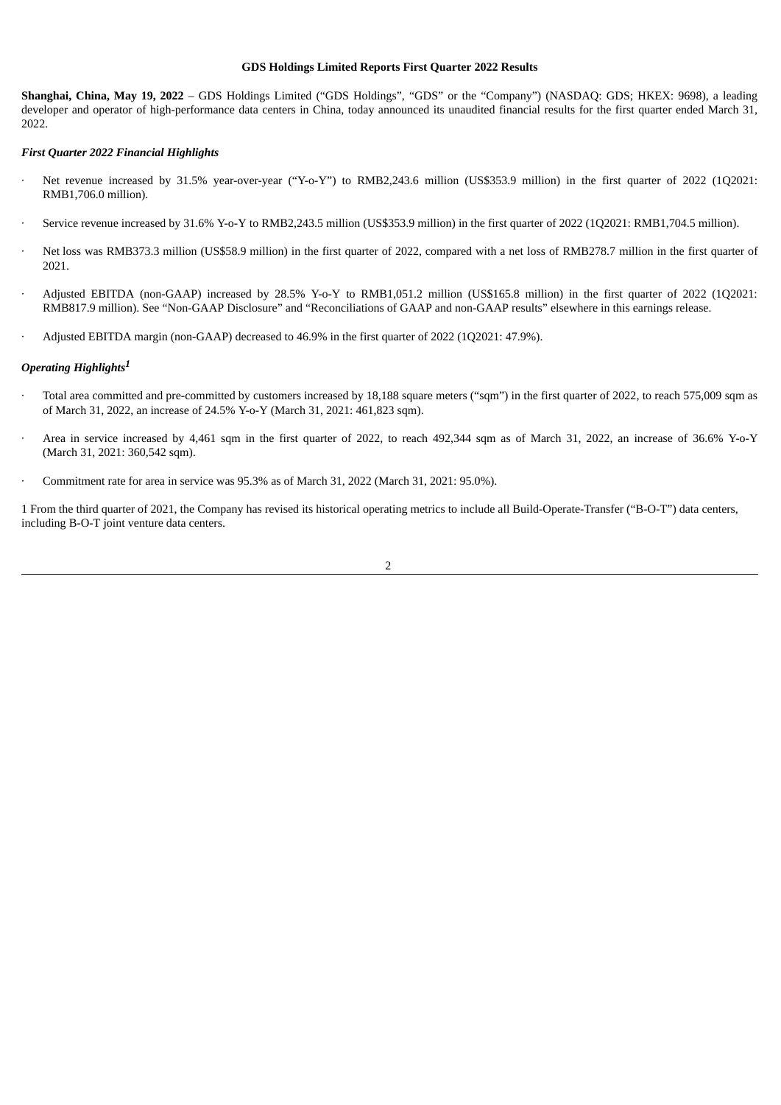#### **GDS Holdings Limited Reports First Quarter 2022 Results**

**Shanghai, China, May 19, 2022** – GDS Holdings Limited ("GDS Holdings", "GDS" or the "Company") (NASDAQ: GDS; HKEX: 9698), a leading developer and operator of high-performance data centers in China, today announced its unaudited financial results for the first quarter ended March 31, 2022.

#### *First Quarter 2022 Financial Highlights*

- · Net revenue increased by 31.5% year-over-year ("Y-o-Y") to RMB2,243.6 million (US\$353.9 million) in the first quarter of 2022 (1Q2021: RMB1,706.0 million).
- Service revenue increased by 31.6% Y-o-Y to RMB2,243.5 million (US\$353.9 million) in the first quarter of 2022 (1Q2021: RMB1,704.5 million).
- Net loss was RMB373.3 million (US\$58.9 million) in the first quarter of 2022, compared with a net loss of RMB278.7 million in the first quarter of 2021.
- · Adjusted EBITDA (non-GAAP) increased by 28.5% Y-o-Y to RMB1,051.2 million (US\$165.8 million) in the first quarter of 2022 (1Q2021: RMB817.9 million). See "Non-GAAP Disclosure" and "Reconciliations of GAAP and non-GAAP results" elsewhere in this earnings release.
- · Adjusted EBITDA margin (non-GAAP) decreased to 46.9% in the first quarter of 2022 (1Q2021: 47.9%).

## *Operating Highlights 1*

- · Total area committed and pre-committed by customers increased by 18,188 square meters ("sqm") in the first quarter of 2022, to reach 575,009 sqm as of March 31, 2022, an increase of 24.5% Y-o-Y (March 31, 2021: 461,823 sqm).
- Area in service increased by 4,461 sqm in the first quarter of 2022, to reach 492,344 sqm as of March 31, 2022, an increase of 36.6% Y-o-Y (March 31, 2021: 360,542 sqm).
- · Commitment rate for area in service was 95.3% as of March 31, 2022 (March 31, 2021: 95.0%).

1 From the third quarter of 2021, the Company has revised its historical operating metrics to include all Build-Operate-Transfer ("B-O-T") data centers, including B-O-T joint venture data centers.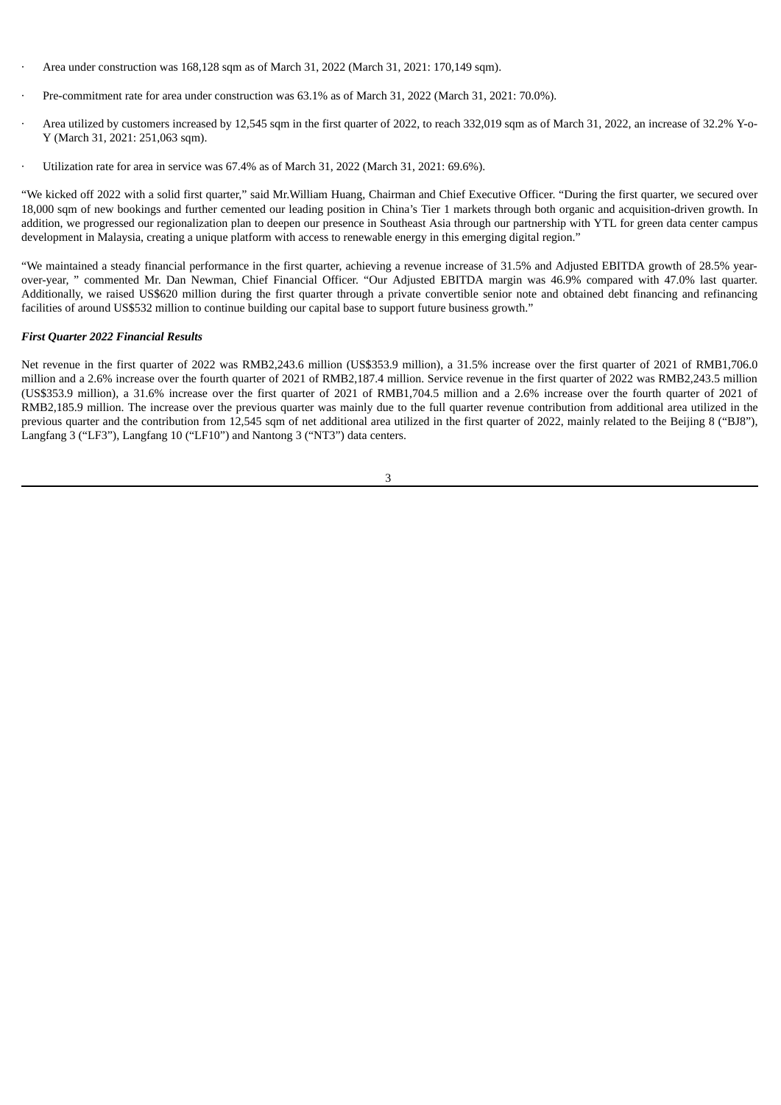- Area under construction was 168,128 sqm as of March 31, 2022 (March 31, 2021: 170,149 sqm).
- Pre-commitment rate for area under construction was 63.1% as of March 31, 2022 (March 31, 2021: 70.0%).
- Area utilized by customers increased by 12,545 sqm in the first quarter of 2022, to reach 332,019 sqm as of March 31, 2022, an increase of 32.2% Y-o-Y (March 31, 2021: 251,063 sqm).
- · Utilization rate for area in service was 67.4% as of March 31, 2022 (March 31, 2021: 69.6%).

"We kicked off 2022 with a solid first quarter," said Mr.William Huang, Chairman and Chief Executive Officer. "During the first quarter, we secured over 18,000 sqm of new bookings and further cemented our leading position in China's Tier 1 markets through both organic and acquisition-driven growth. In addition, we progressed our regionalization plan to deepen our presence in Southeast Asia through our partnership with YTL for green data center campus development in Malaysia, creating a unique platform with access to renewable energy in this emerging digital region."

"We maintained a steady financial performance in the first quarter, achieving a revenue increase of 31.5% and Adjusted EBITDA growth of 28.5% yearover-year, " commented Mr. Dan Newman, Chief Financial Officer. "Our Adjusted EBITDA margin was 46.9% compared with 47.0% last quarter. Additionally, we raised US\$620 million during the first quarter through a private convertible senior note and obtained debt financing and refinancing facilities of around US\$532 million to continue building our capital base to support future business growth."

### *First Quarter 2022 Financial Results*

Net revenue in the first quarter of 2022 was RMB2,243.6 million (US\$353.9 million), a 31.5% increase over the first quarter of 2021 of RMB1,706.0 million and a 2.6% increase over the fourth quarter of 2021 of RMB2,187.4 million. Service revenue in the first quarter of 2022 was RMB2,243.5 million (US\$353.9 million), a 31.6% increase over the first quarter of 2021 of RMB1,704.5 million and a 2.6% increase over the fourth quarter of 2021 of RMB2,185.9 million. The increase over the previous quarter was mainly due to the full quarter revenue contribution from additional area utilized in the previous quarter and the contribution from 12,545 sqm of net additional area utilized in the first quarter of 2022, mainly related to the Beijing 8 ("BJ8"), Langfang 3 ("LF3"), Langfang 10 ("LF10") and Nantong 3 ("NT3") data centers.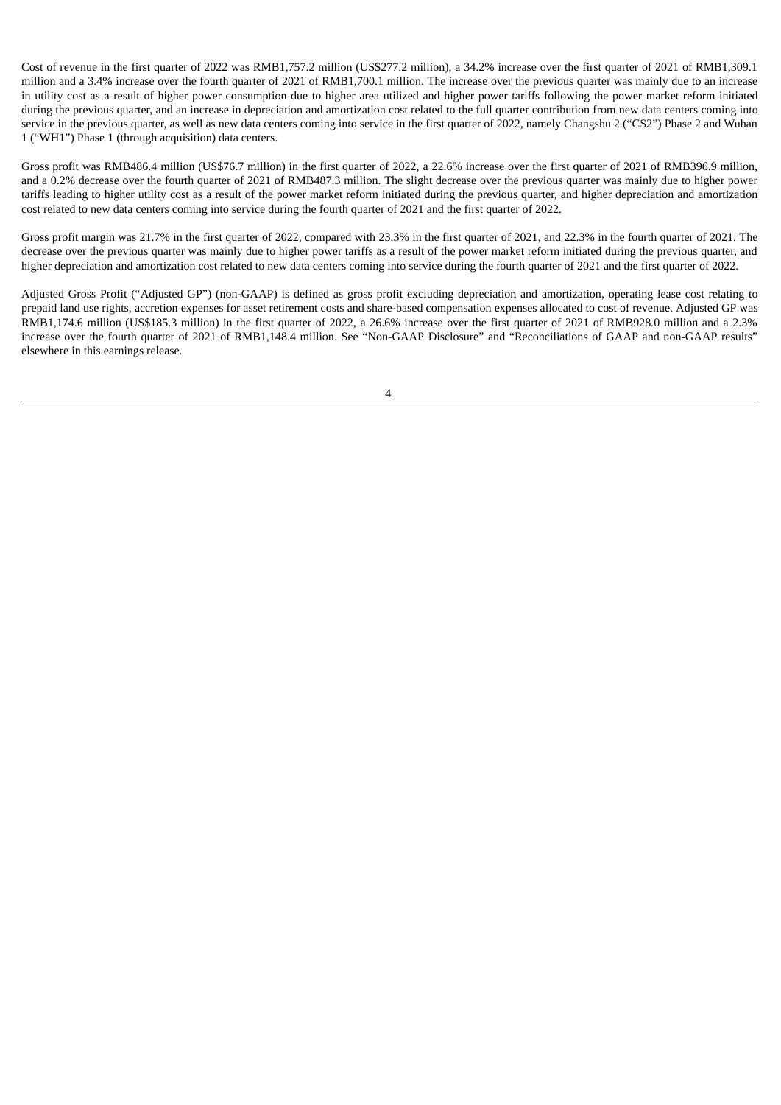Cost of revenue in the first quarter of 2022 was RMB1,757.2 million (US\$277.2 million), a 34.2% increase over the first quarter of 2021 of RMB1,309.1 million and a 3.4% increase over the fourth quarter of 2021 of RMB1,700.1 million. The increase over the previous quarter was mainly due to an increase in utility cost as a result of higher power consumption due to higher area utilized and higher power tariffs following the power market reform initiated during the previous quarter, and an increase in depreciation and amortization cost related to the full quarter contribution from new data centers coming into service in the previous quarter, as well as new data centers coming into service in the first quarter of 2022, namely Changshu 2 ("CS2") Phase 2 and Wuhan 1 ("WH1") Phase 1 (through acquisition) data centers.

Gross profit was RMB486.4 million (US\$76.7 million) in the first quarter of 2022, a 22.6% increase over the first quarter of 2021 of RMB396.9 million, and a 0.2% decrease over the fourth quarter of 2021 of RMB487.3 million. The slight decrease over the previous quarter was mainly due to higher power tariffs leading to higher utility cost as a result of the power market reform initiated during the previous quarter, and higher depreciation and amortization cost related to new data centers coming into service during the fourth quarter of 2021 and the first quarter of 2022.

Gross profit margin was 21.7% in the first quarter of 2022, compared with 23.3% in the first quarter of 2021, and 22.3% in the fourth quarter of 2021. The decrease over the previous quarter was mainly due to higher power tariffs as a result of the power market reform initiated during the previous quarter, and higher depreciation and amortization cost related to new data centers coming into service during the fourth quarter of 2021 and the first quarter of 2022.

Adjusted Gross Profit ("Adjusted GP") (non-GAAP) is defined as gross profit excluding depreciation and amortization, operating lease cost relating to prepaid land use rights, accretion expenses for asset retirement costs and share-based compensation expenses allocated to cost of revenue. Adjusted GP was RMB1,174.6 million (US\$185.3 million) in the first quarter of 2022, a 26.6% increase over the first quarter of 2021 of RMB928.0 million and a 2.3% increase over the fourth quarter of 2021 of RMB1,148.4 million. See "Non-GAAP Disclosure" and "Reconciliations of GAAP and non-GAAP results" elsewhere in this earnings release.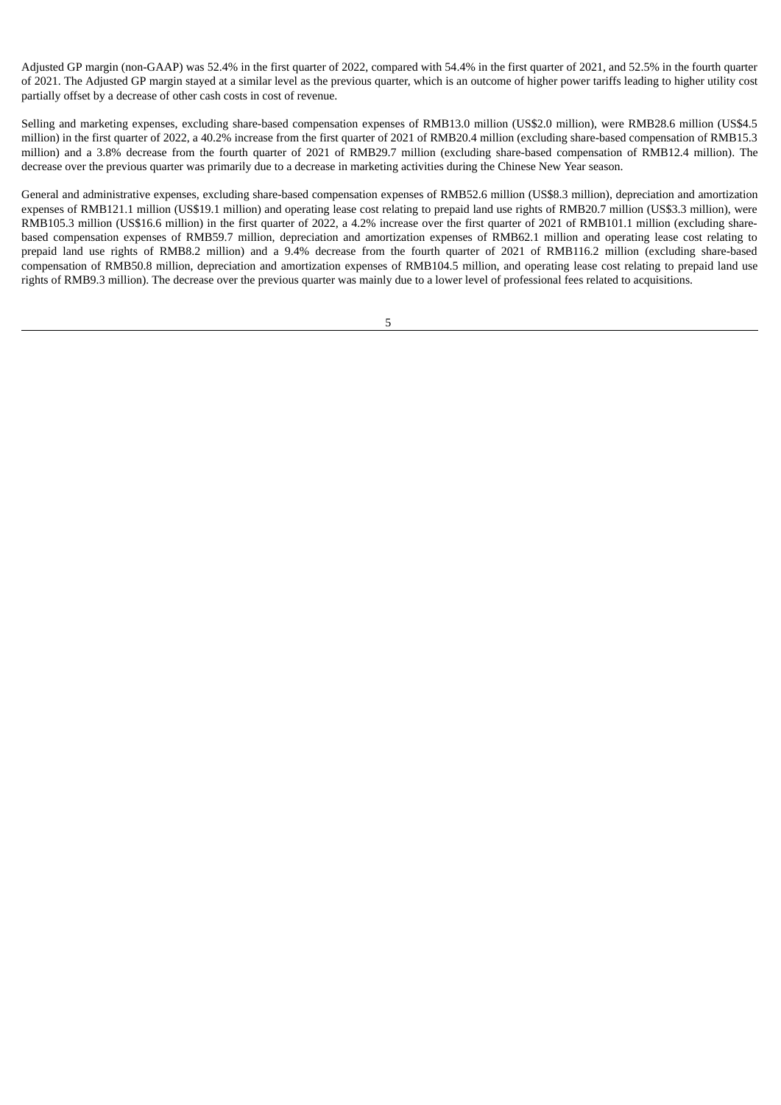Adjusted GP margin (non-GAAP) was 52.4% in the first quarter of 2022, compared with 54.4% in the first quarter of 2021, and 52.5% in the fourth quarter of 2021. The Adjusted GP margin stayed at a similar level as the previous quarter, which is an outcome of higher power tariffs leading to higher utility cost partially offset by a decrease of other cash costs in cost of revenue.

Selling and marketing expenses, excluding share-based compensation expenses of RMB13.0 million (US\$2.0 million), were RMB28.6 million (US\$4.5 million) in the first quarter of 2022, a 40.2% increase from the first quarter of 2021 of RMB20.4 million (excluding share-based compensation of RMB15.3 million) and a 3.8% decrease from the fourth quarter of 2021 of RMB29.7 million (excluding share-based compensation of RMB12.4 million). The decrease over the previous quarter was primarily due to a decrease in marketing activities during the Chinese New Year season.

General and administrative expenses, excluding share-based compensation expenses of RMB52.6 million (US\$8.3 million), depreciation and amortization expenses of RMB121.1 million (US\$19.1 million) and operating lease cost relating to prepaid land use rights of RMB20.7 million (US\$3.3 million), were RMB105.3 million (US\$16.6 million) in the first quarter of 2022, a 4.2% increase over the first quarter of 2021 of RMB101.1 million (excluding sharebased compensation expenses of RMB59.7 million, depreciation and amortization expenses of RMB62.1 million and operating lease cost relating to prepaid land use rights of RMB8.2 million) and a 9.4% decrease from the fourth quarter of 2021 of RMB116.2 million (excluding share-based compensation of RMB50.8 million, depreciation and amortization expenses of RMB104.5 million, and operating lease cost relating to prepaid land use rights of RMB9.3 million). The decrease over the previous quarter was mainly due to a lower level of professional fees related to acquisitions.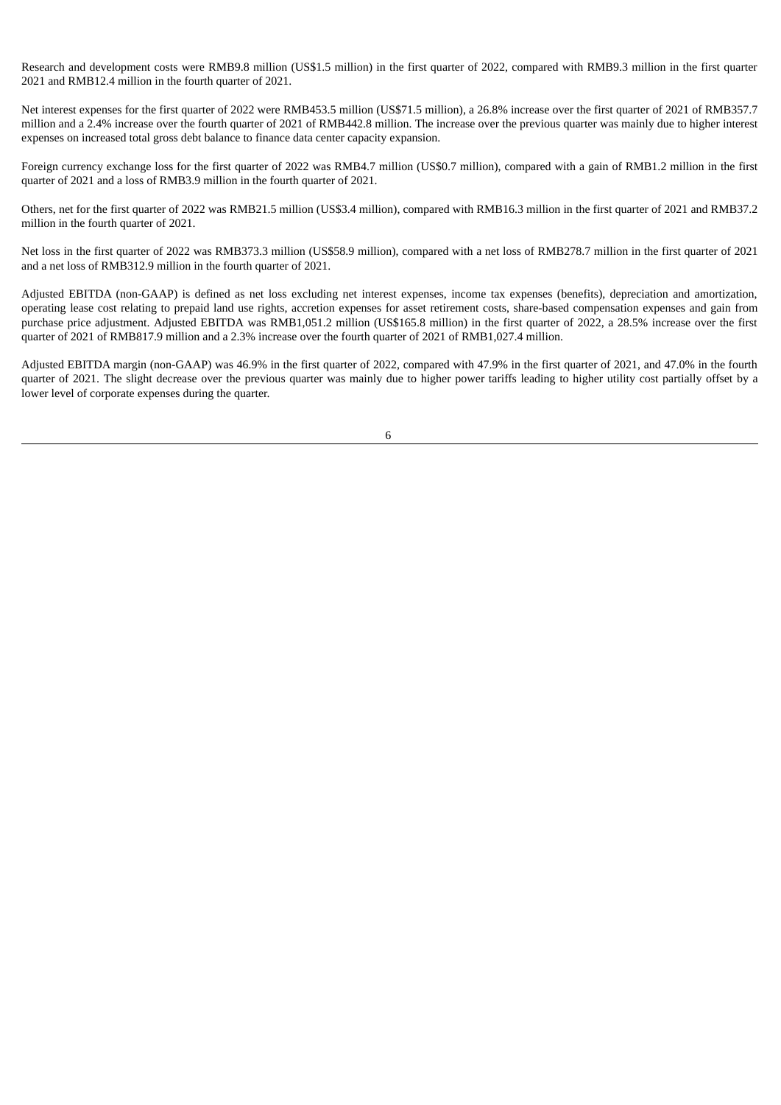Research and development costs were RMB9.8 million (US\$1.5 million) in the first quarter of 2022, compared with RMB9.3 million in the first quarter 2021 and RMB12.4 million in the fourth quarter of 2021.

Net interest expenses for the first quarter of 2022 were RMB453.5 million (US\$71.5 million), a 26.8% increase over the first quarter of 2021 of RMB357.7 million and a 2.4% increase over the fourth quarter of 2021 of RMB442.8 million. The increase over the previous quarter was mainly due to higher interest expenses on increased total gross debt balance to finance data center capacity expansion.

Foreign currency exchange loss for the first quarter of 2022 was RMB4.7 million (US\$0.7 million), compared with a gain of RMB1.2 million in the first quarter of 2021 and a loss of RMB3.9 million in the fourth quarter of 2021.

Others, net for the first quarter of 2022 was RMB21.5 million (US\$3.4 million), compared with RMB16.3 million in the first quarter of 2021 and RMB37.2 million in the fourth quarter of 2021.

Net loss in the first quarter of 2022 was RMB373.3 million (US\$58.9 million), compared with a net loss of RMB278.7 million in the first quarter of 2021 and a net loss of RMB312.9 million in the fourth quarter of 2021.

Adjusted EBITDA (non-GAAP) is defined as net loss excluding net interest expenses, income tax expenses (benefits), depreciation and amortization, operating lease cost relating to prepaid land use rights, accretion expenses for asset retirement costs, share-based compensation expenses and gain from purchase price adjustment. Adjusted EBITDA was RMB1,051.2 million (US\$165.8 million) in the first quarter of 2022, a 28.5% increase over the first quarter of 2021 of RMB817.9 million and a 2.3% increase over the fourth quarter of 2021 of RMB1,027.4 million.

Adjusted EBITDA margin (non-GAAP) was 46.9% in the first quarter of 2022, compared with 47.9% in the first quarter of 2021, and 47.0% in the fourth quarter of 2021. The slight decrease over the previous quarter was mainly due to higher power tariffs leading to higher utility cost partially offset by a lower level of corporate expenses during the quarter.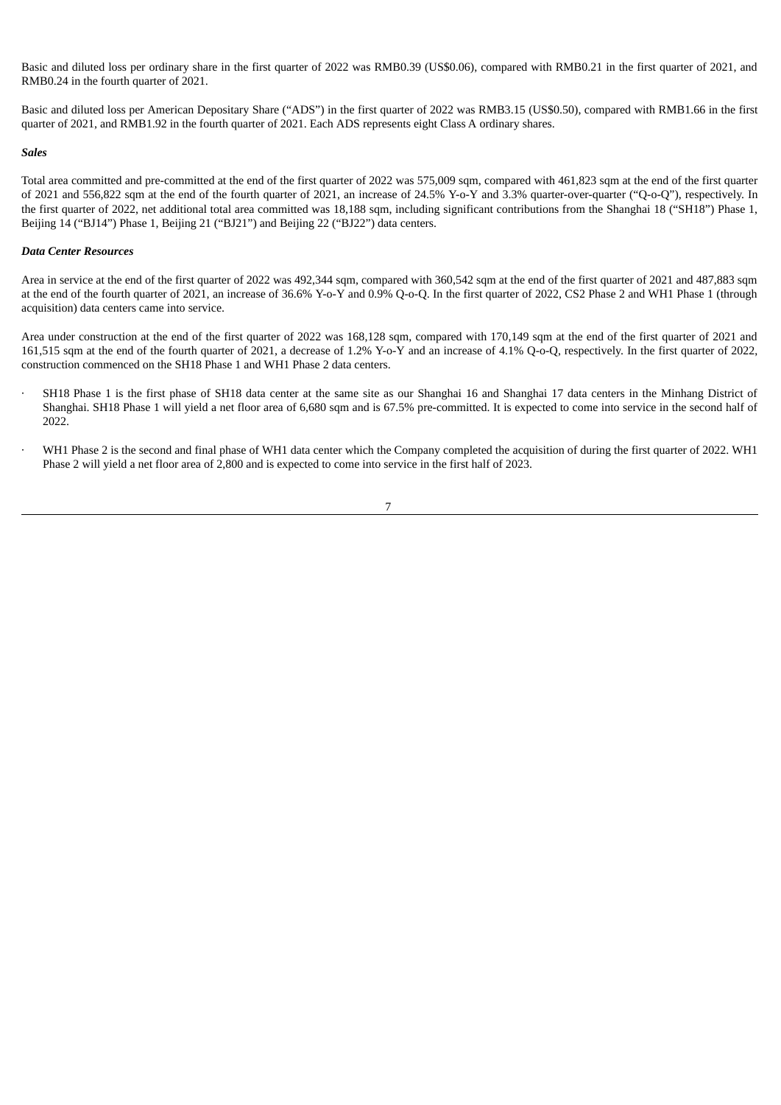Basic and diluted loss per ordinary share in the first quarter of 2022 was RMB0.39 (US\$0.06), compared with RMB0.21 in the first quarter of 2021, and RMB0.24 in the fourth quarter of 2021.

Basic and diluted loss per American Depositary Share ("ADS") in the first quarter of 2022 was RMB3.15 (US\$0.50), compared with RMB1.66 in the first quarter of 2021, and RMB1.92 in the fourth quarter of 2021. Each ADS represents eight Class A ordinary shares.

#### *Sales*

Total area committed and pre-committed at the end of the first quarter of 2022 was 575,009 sqm, compared with 461,823 sqm at the end of the first quarter of 2021 and 556,822 sqm at the end of the fourth quarter of 2021, an increase of 24.5% Y-o-Y and 3.3% quarter-over-quarter ("Q-o-Q"), respectively. In the first quarter of 2022, net additional total area committed was 18,188 sqm, including significant contributions from the Shanghai 18 ("SH18") Phase 1, Beijing 14 ("BJ14") Phase 1, Beijing 21 ("BJ21") and Beijing 22 ("BJ22") data centers.

#### *Data Center Resources*

Area in service at the end of the first quarter of 2022 was 492,344 sqm, compared with 360,542 sqm at the end of the first quarter of 2021 and 487,883 sqm at the end of the fourth quarter of 2021, an increase of 36.6% Y-o-Y and 0.9% Q-o-Q. In the first quarter of 2022, CS2 Phase 2 and WH1 Phase 1 (through acquisition) data centers came into service.

Area under construction at the end of the first quarter of 2022 was 168,128 sqm, compared with 170,149 sqm at the end of the first quarter of 2021 and 161,515 sqm at the end of the fourth quarter of 2021, a decrease of 1.2% Y-o-Y and an increase of 4.1% Q-o-Q, respectively. In the first quarter of 2022, construction commenced on the SH18 Phase 1 and WH1 Phase 2 data centers.

- · SH18 Phase 1 is the first phase of SH18 data center at the same site as our Shanghai 16 and Shanghai 17 data centers in the Minhang District of Shanghai. SH18 Phase 1 will yield a net floor area of 6,680 sqm and is 67.5% pre-committed. It is expected to come into service in the second half of 2022.
- · WH1 Phase 2 is the second and final phase of WH1 data center which the Company completed the acquisition of during the first quarter of 2022. WH1 Phase 2 will yield a net floor area of 2,800 and is expected to come into service in the first half of 2023.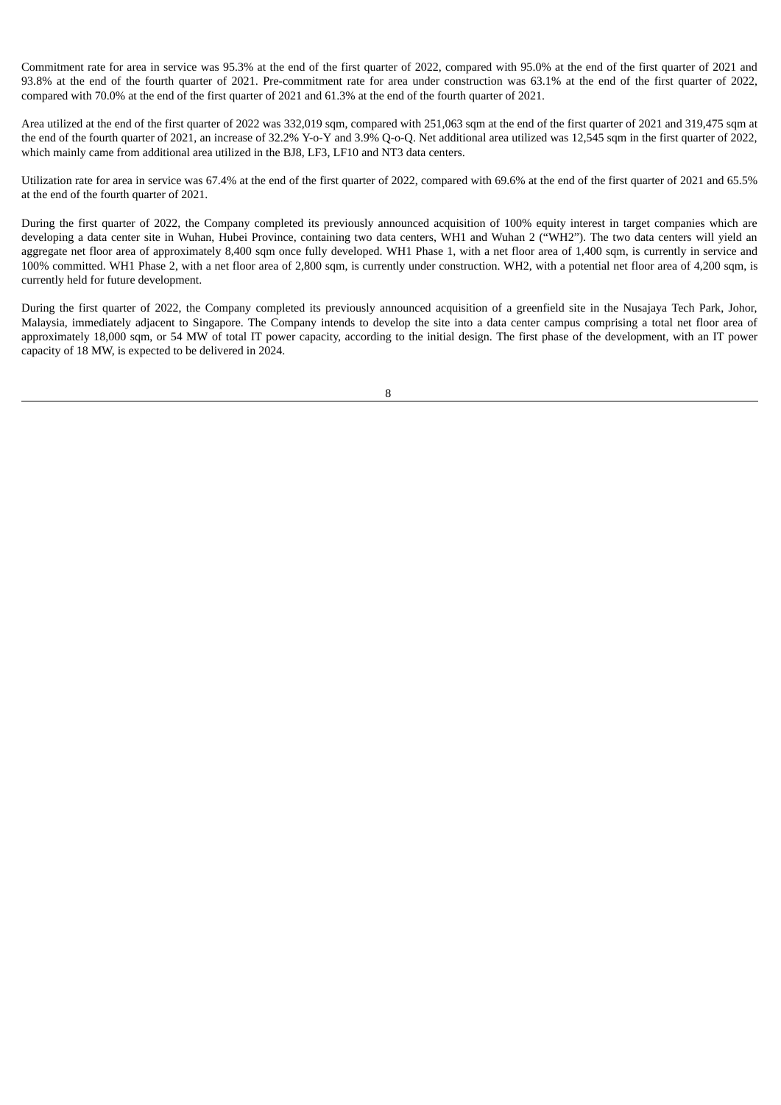Commitment rate for area in service was 95.3% at the end of the first quarter of 2022, compared with 95.0% at the end of the first quarter of 2021 and 93.8% at the end of the fourth quarter of 2021. Pre-commitment rate for area under construction was 63.1% at the end of the first quarter of 2022, compared with 70.0% at the end of the first quarter of 2021 and 61.3% at the end of the fourth quarter of 2021.

Area utilized at the end of the first quarter of 2022 was 332,019 sqm, compared with 251,063 sqm at the end of the first quarter of 2021 and 319,475 sqm at the end of the fourth quarter of 2021, an increase of 32.2% Y-o-Y and 3.9% Q-o-Q. Net additional area utilized was 12,545 sqm in the first quarter of 2022, which mainly came from additional area utilized in the BJ8, LF3, LF10 and NT3 data centers.

Utilization rate for area in service was 67.4% at the end of the first quarter of 2022, compared with 69.6% at the end of the first quarter of 2021 and 65.5% at the end of the fourth quarter of 2021.

During the first quarter of 2022, the Company completed its previously announced acquisition of 100% equity interest in target companies which are developing a data center site in Wuhan, Hubei Province, containing two data centers, WH1 and Wuhan 2 ("WH2"). The two data centers will yield an aggregate net floor area of approximately 8,400 sqm once fully developed. WH1 Phase 1, with a net floor area of 1,400 sqm, is currently in service and 100% committed. WH1 Phase 2, with a net floor area of 2,800 sqm, is currently under construction. WH2, with a potential net floor area of 4,200 sqm, is currently held for future development.

During the first quarter of 2022, the Company completed its previously announced acquisition of a greenfield site in the Nusajaya Tech Park, Johor, Malaysia, immediately adjacent to Singapore. The Company intends to develop the site into a data center campus comprising a total net floor area of approximately 18,000 sqm, or 54 MW of total IT power capacity, according to the initial design. The first phase of the development, with an IT power capacity of 18 MW, is expected to be delivered in 2024.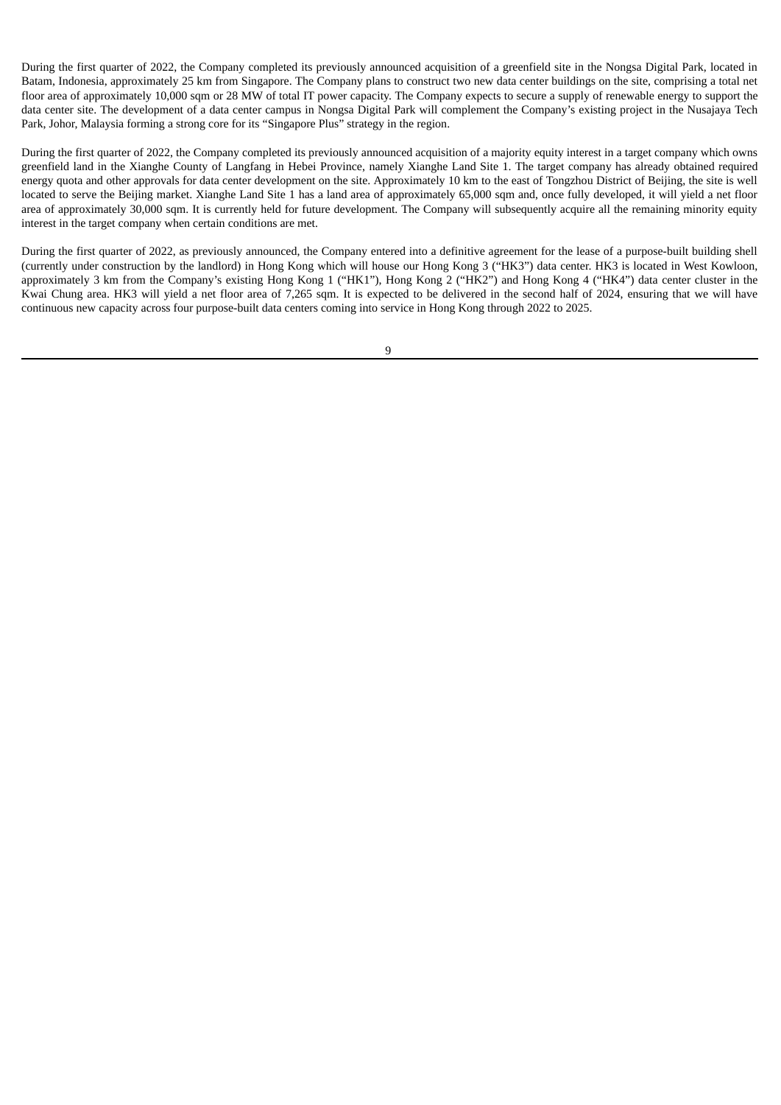During the first quarter of 2022, the Company completed its previously announced acquisition of a greenfield site in the Nongsa Digital Park, located in Batam, Indonesia, approximately 25 km from Singapore. The Company plans to construct two new data center buildings on the site, comprising a total net floor area of approximately 10,000 sqm or 28 MW of total IT power capacity. The Company expects to secure a supply of renewable energy to support the data center site. The development of a data center campus in Nongsa Digital Park will complement the Company's existing project in the Nusajaya Tech Park, Johor, Malaysia forming a strong core for its "Singapore Plus" strategy in the region.

During the first quarter of 2022, the Company completed its previously announced acquisition of a majority equity interest in a target company which owns greenfield land in the Xianghe County of Langfang in Hebei Province, namely Xianghe Land Site 1. The target company has already obtained required energy quota and other approvals for data center development on the site. Approximately 10 km to the east of Tongzhou District of Beijing, the site is well located to serve the Beijing market. Xianghe Land Site 1 has a land area of approximately 65,000 sqm and, once fully developed, it will yield a net floor area of approximately 30,000 sqm. It is currently held for future development. The Company will subsequently acquire all the remaining minority equity interest in the target company when certain conditions are met.

During the first quarter of 2022, as previously announced, the Company entered into a definitive agreement for the lease of a purpose-built building shell (currently under construction by the landlord) in Hong Kong which will house our Hong Kong 3 ("HK3") data center. HK3 is located in West Kowloon, approximately 3 km from the Company's existing Hong Kong 1 ("HK1"), Hong Kong 2 ("HK2") and Hong Kong 4 ("HK4") data center cluster in the Kwai Chung area. HK3 will yield a net floor area of 7,265 sqm. It is expected to be delivered in the second half of 2024, ensuring that we will have continuous new capacity across four purpose-built data centers coming into service in Hong Kong through 2022 to 2025.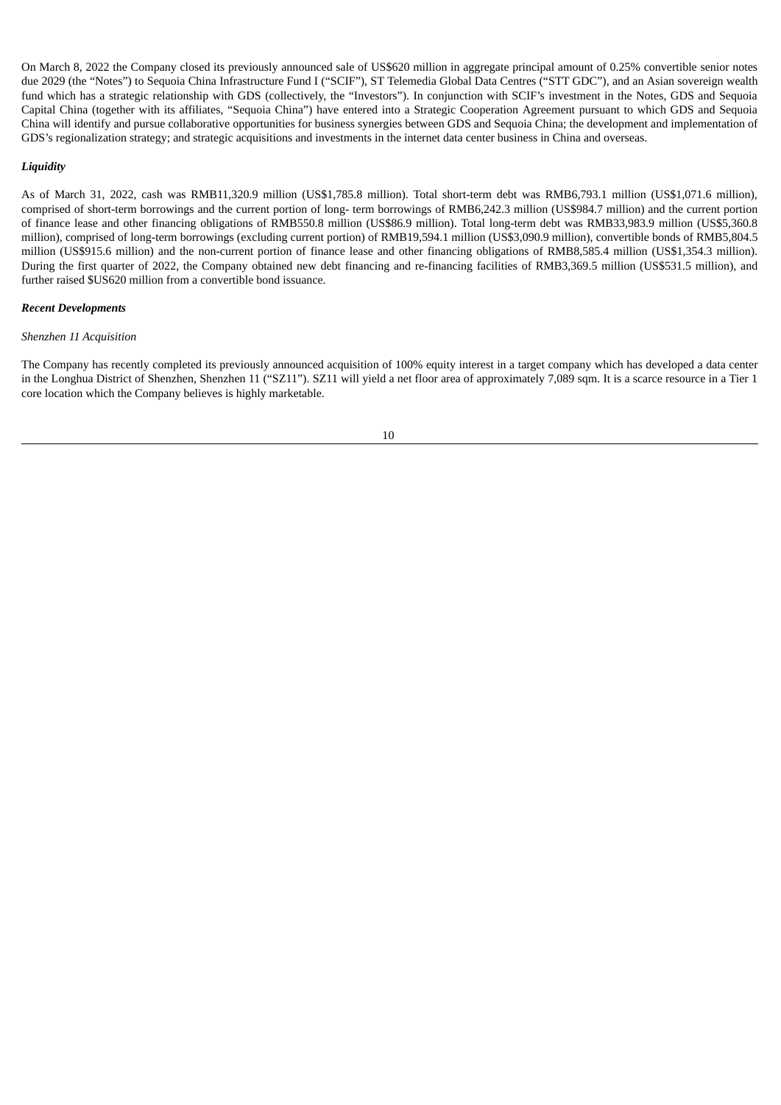On March 8, 2022 the Company closed its previously announced sale of US\$620 million in aggregate principal amount of 0.25% convertible senior notes due 2029 (the "Notes") to Sequoia China Infrastructure Fund I ("SCIF"), ST Telemedia Global Data Centres ("STT GDC"), and an Asian sovereign wealth fund which has a strategic relationship with GDS (collectively, the "Investors"). In conjunction with SCIF's investment in the Notes, GDS and Sequoia Capital China (together with its affiliates, "Sequoia China") have entered into a Strategic Cooperation Agreement pursuant to which GDS and Sequoia China will identify and pursue collaborative opportunities for business synergies between GDS and Sequoia China; the development and implementation of GDS's regionalization strategy; and strategic acquisitions and investments in the internet data center business in China and overseas.

#### *Liquidity*

As of March 31, 2022, cash was RMB11,320.9 million (US\$1,785.8 million). Total short-term debt was RMB6,793.1 million (US\$1,071.6 million), comprised of short-term borrowings and the current portion of long- term borrowings of RMB6,242.3 million (US\$984.7 million) and the current portion of finance lease and other financing obligations of RMB550.8 million (US\$86.9 million). Total long-term debt was RMB33,983.9 million (US\$5,360.8 million), comprised of long-term borrowings (excluding current portion) of RMB19,594.1 million (US\$3,090.9 million), convertible bonds of RMB5,804.5 million (US\$915.6 million) and the non-current portion of finance lease and other financing obligations of RMB8,585.4 million (US\$1,354.3 million). During the first quarter of 2022, the Company obtained new debt financing and re-financing facilities of RMB3,369.5 million (US\$531.5 million), and further raised \$US620 million from a convertible bond issuance.

## *Recent Developments*

#### *Shenzhen 11 Acquisition*

The Company has recently completed its previously announced acquisition of 100% equity interest in a target company which has developed a data center in the Longhua District of Shenzhen, Shenzhen 11 ("SZ11"). SZ11 will yield a net floor area of approximately 7,089 sqm. It is a scarce resource in a Tier 1 core location which the Company believes is highly marketable.

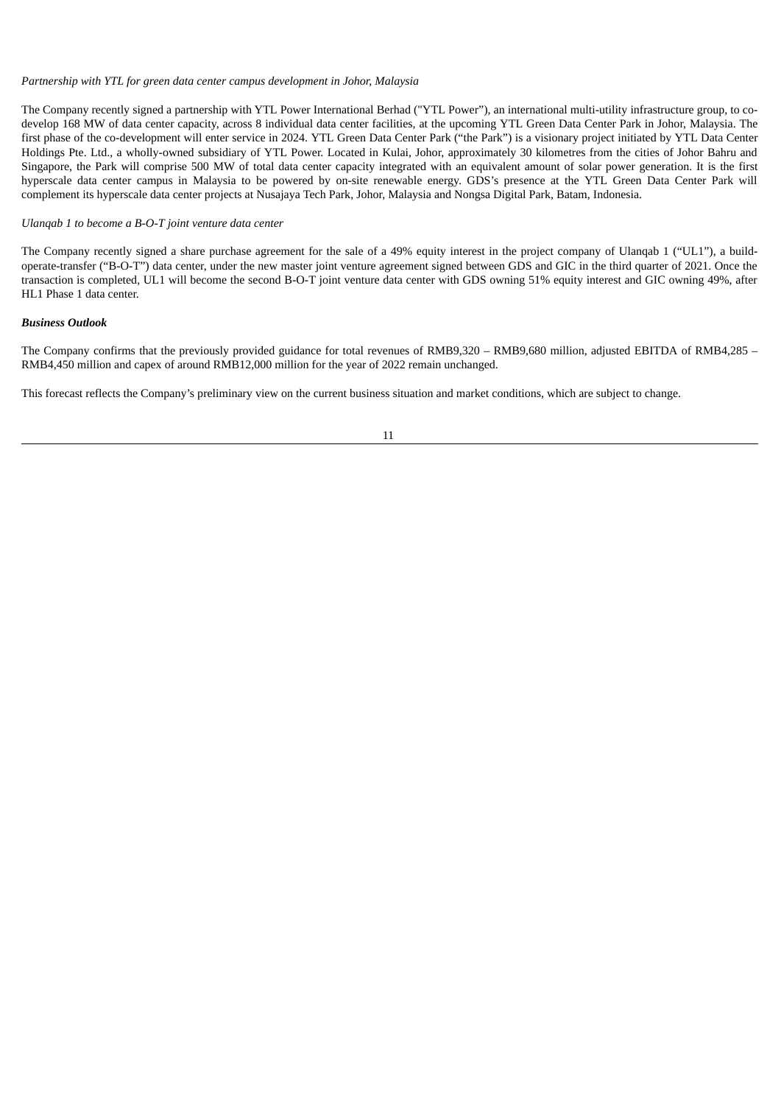### *Partnership with YTL for green data center campus development in Johor, Malaysia*

The Company recently signed a partnership with YTL Power International Berhad ("YTL Power"), an international multi-utility infrastructure group, to codevelop 168 MW of data center capacity, across 8 individual data center facilities, at the upcoming YTL Green Data Center Park in Johor, Malaysia. The first phase of the co-development will enter service in 2024. YTL Green Data Center Park ("the Park") is a visionary project initiated by YTL Data Center Holdings Pte. Ltd., a wholly-owned subsidiary of YTL Power. Located in Kulai, Johor, approximately 30 kilometres from the cities of Johor Bahru and Singapore, the Park will comprise 500 MW of total data center capacity integrated with an equivalent amount of solar power generation. It is the first hyperscale data center campus in Malaysia to be powered by on-site renewable energy. GDS's presence at the YTL Green Data Center Park will complement its hyperscale data center projects at Nusajaya Tech Park, Johor, Malaysia and Nongsa Digital Park, Batam, Indonesia.

#### *Ulanqab 1 to become a B-O-T joint venture data center*

The Company recently signed a share purchase agreement for the sale of a 49% equity interest in the project company of Ulanqab 1 ("UL1"), a buildoperate-transfer ("B-O-T") data center, under the new master joint venture agreement signed between GDS and GIC in the third quarter of 2021. Once the transaction is completed, UL1 will become the second B-O-T joint venture data center with GDS owning 51% equity interest and GIC owning 49%, after HL1 Phase 1 data center.

#### *Business Outlook*

The Company confirms that the previously provided guidance for total revenues of RMB9,320 – RMB9,680 million, adjusted EBITDA of RMB4,285 – RMB4,450 million and capex of around RMB12,000 million for the year of 2022 remain unchanged.

This forecast reflects the Company's preliminary view on the current business situation and market conditions, which are subject to change.

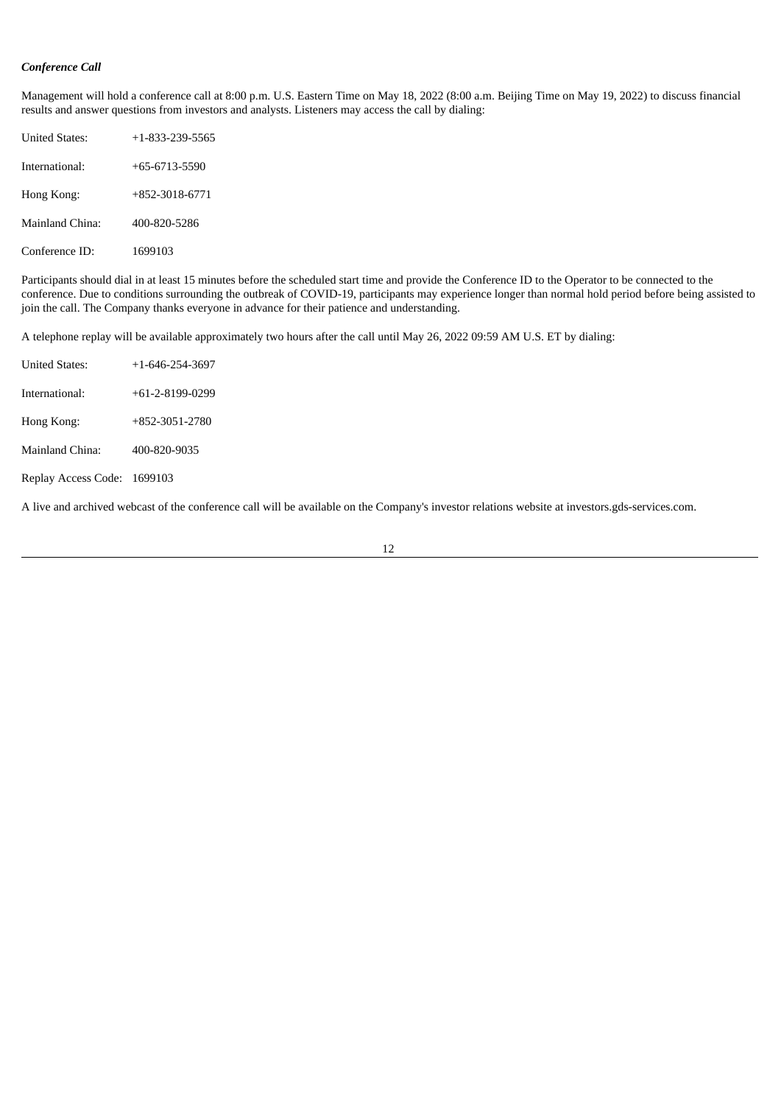## *Conference Call*

Management will hold a conference call at 8:00 p.m. U.S. Eastern Time on May 18, 2022 (8:00 a.m. Beijing Time on May 19, 2022) to discuss financial results and answer questions from investors and analysts. Listeners may access the call by dialing:

| <b>United States:</b> | +1-833-239-5565 |
|-----------------------|-----------------|
| International:        | +65-6713-5590   |
| Hong Kong:            | +852-3018-6771  |
| Mainland China:       | 400-820-5286    |
| Conference ID:        | 1699103         |

Participants should dial in at least 15 minutes before the scheduled start time and provide the Conference ID to the Operator to be connected to the conference. Due to conditions surrounding the outbreak of COVID-19, participants may experience longer than normal hold period before being assisted to join the call. The Company thanks everyone in advance for their patience and understanding.

A telephone replay will be available approximately two hours after the call until May 26, 2022 09:59 AM U.S. ET by dialing:

| <b>United States:</b>       | $+1 - 646 - 254 - 3697$ |
|-----------------------------|-------------------------|
| International:              | $+61-2-8199-0299$       |
| Hong Kong:                  | $+852 - 3051 - 2780$    |
| Mainland China:             | 400-820-9035            |
| Replay Access Code: 1699103 |                         |

A live and archived webcast of the conference call will be available on the Company's investor relations website at investors.gds-services.com.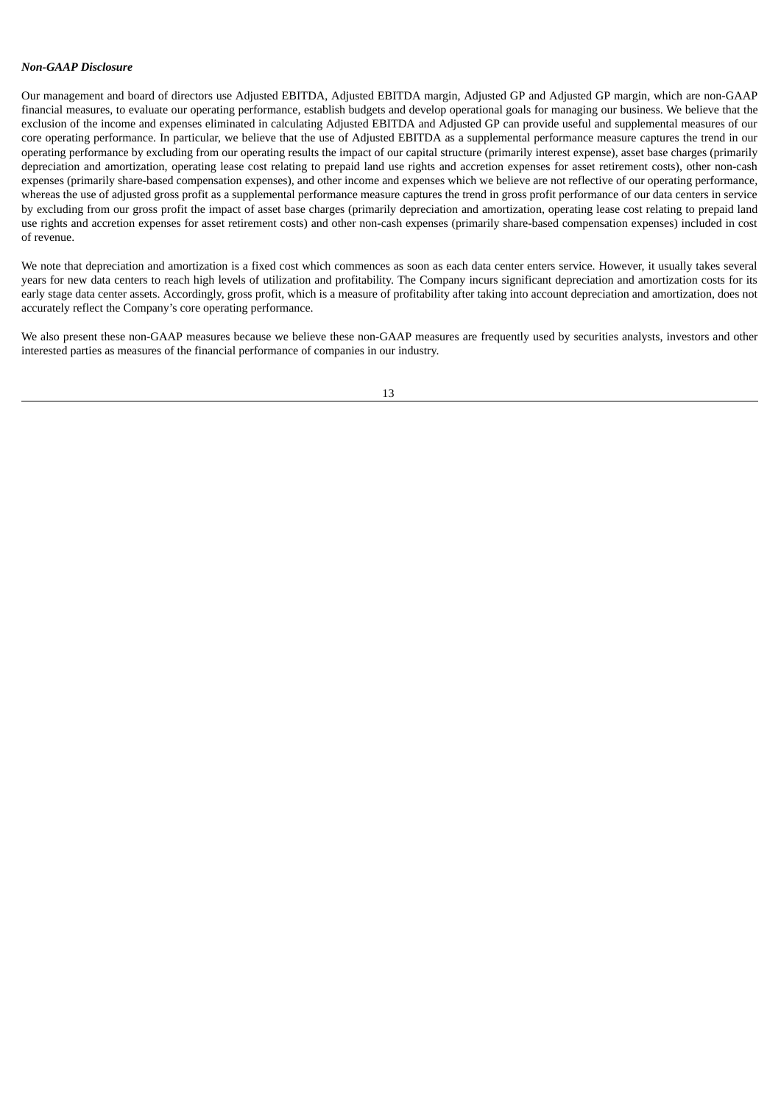#### *Non-GAAP Disclosure*

Our management and board of directors use Adjusted EBITDA, Adjusted EBITDA margin, Adjusted GP and Adjusted GP margin, which are non-GAAP financial measures, to evaluate our operating performance, establish budgets and develop operational goals for managing our business. We believe that the exclusion of the income and expenses eliminated in calculating Adjusted EBITDA and Adjusted GP can provide useful and supplemental measures of our core operating performance. In particular, we believe that the use of Adjusted EBITDA as a supplemental performance measure captures the trend in our operating performance by excluding from our operating results the impact of our capital structure (primarily interest expense), asset base charges (primarily depreciation and amortization, operating lease cost relating to prepaid land use rights and accretion expenses for asset retirement costs), other non-cash expenses (primarily share-based compensation expenses), and other income and expenses which we believe are not reflective of our operating performance, whereas the use of adjusted gross profit as a supplemental performance measure captures the trend in gross profit performance of our data centers in service by excluding from our gross profit the impact of asset base charges (primarily depreciation and amortization, operating lease cost relating to prepaid land use rights and accretion expenses for asset retirement costs) and other non-cash expenses (primarily share-based compensation expenses) included in cost of revenue.

We note that depreciation and amortization is a fixed cost which commences as soon as each data center enters service. However, it usually takes several years for new data centers to reach high levels of utilization and profitability. The Company incurs significant depreciation and amortization costs for its early stage data center assets. Accordingly, gross profit, which is a measure of profitability after taking into account depreciation and amortization, does not accurately reflect the Company's core operating performance.

We also present these non-GAAP measures because we believe these non-GAAP measures are frequently used by securities analysts, investors and other interested parties as measures of the financial performance of companies in our industry.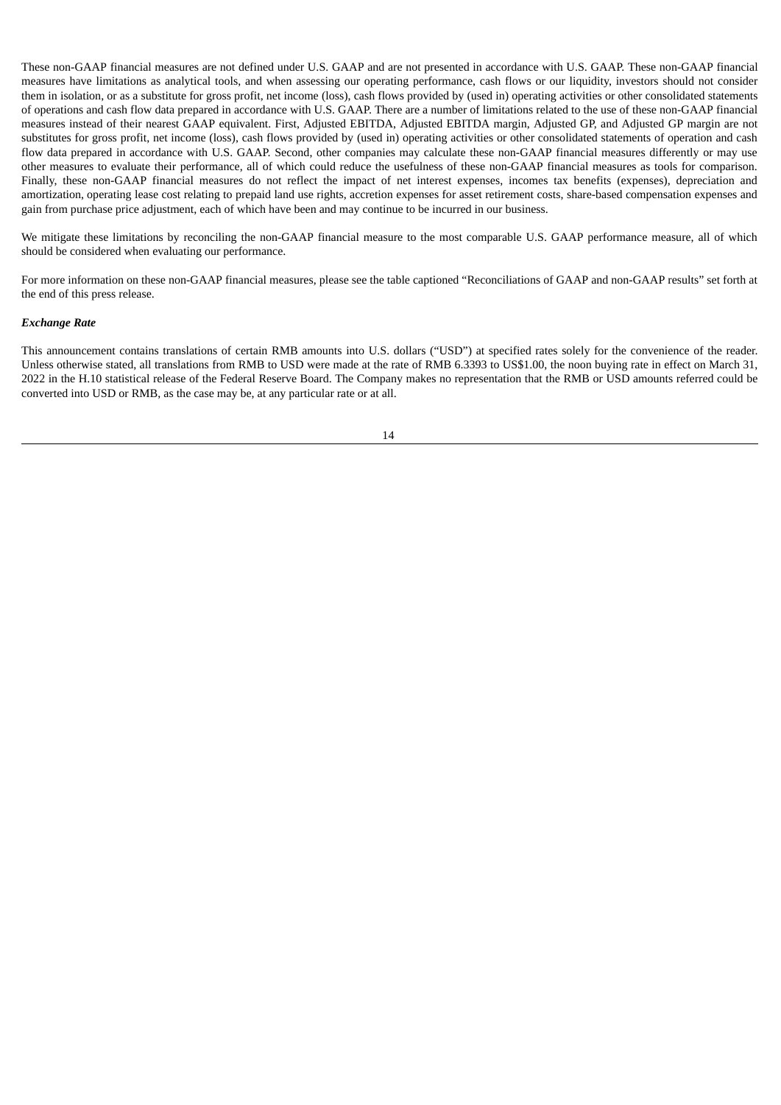These non-GAAP financial measures are not defined under U.S. GAAP and are not presented in accordance with U.S. GAAP. These non-GAAP financial measures have limitations as analytical tools, and when assessing our operating performance, cash flows or our liquidity, investors should not consider them in isolation, or as a substitute for gross profit, net income (loss), cash flows provided by (used in) operating activities or other consolidated statements of operations and cash flow data prepared in accordance with U.S. GAAP. There are a number of limitations related to the use of these non-GAAP financial measures instead of their nearest GAAP equivalent. First, Adjusted EBITDA, Adjusted EBITDA margin, Adjusted GP, and Adjusted GP margin are not substitutes for gross profit, net income (loss), cash flows provided by (used in) operating activities or other consolidated statements of operation and cash flow data prepared in accordance with U.S. GAAP. Second, other companies may calculate these non-GAAP financial measures differently or may use other measures to evaluate their performance, all of which could reduce the usefulness of these non-GAAP financial measures as tools for comparison. Finally, these non-GAAP financial measures do not reflect the impact of net interest expenses, incomes tax benefits (expenses), depreciation and amortization, operating lease cost relating to prepaid land use rights, accretion expenses for asset retirement costs, share-based compensation expenses and gain from purchase price adjustment, each of which have been and may continue to be incurred in our business.

We mitigate these limitations by reconciling the non-GAAP financial measure to the most comparable U.S. GAAP performance measure, all of which should be considered when evaluating our performance.

For more information on these non-GAAP financial measures, please see the table captioned "Reconciliations of GAAP and non-GAAP results" set forth at the end of this press release.

#### *Exchange Rate*

This announcement contains translations of certain RMB amounts into U.S. dollars ("USD") at specified rates solely for the convenience of the reader. Unless otherwise stated, all translations from RMB to USD were made at the rate of RMB 6.3393 to US\$1.00, the noon buying rate in effect on March 31, 2022 in the H.10 statistical release of the Federal Reserve Board. The Company makes no representation that the RMB or USD amounts referred could be converted into USD or RMB, as the case may be, at any particular rate or at all.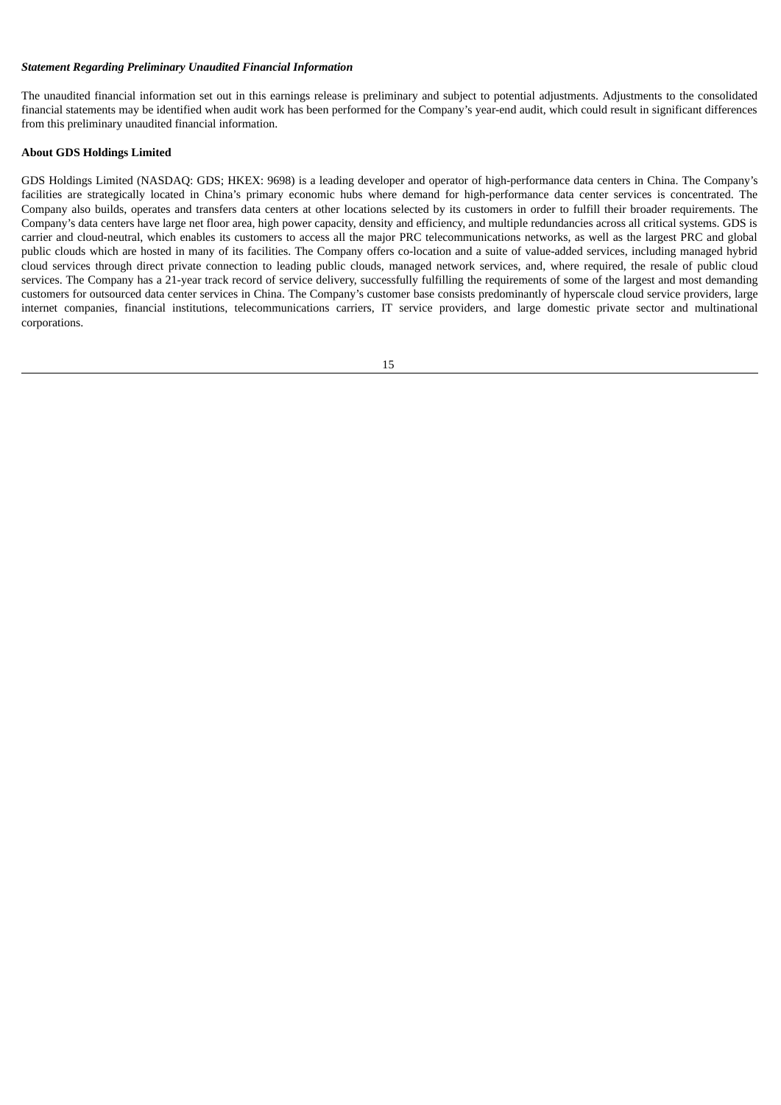## *Statement Regarding Preliminary Unaudited Financial Information*

The unaudited financial information set out in this earnings release is preliminary and subject to potential adjustments. Adjustments to the consolidated financial statements may be identified when audit work has been performed for the Company's year-end audit, which could result in significant differences from this preliminary unaudited financial information.

### **About GDS Holdings Limited**

GDS Holdings Limited (NASDAQ: GDS; HKEX: 9698) is a leading developer and operator of high-performance data centers in China. The Company's facilities are strategically located in China's primary economic hubs where demand for high-performance data center services is concentrated. The Company also builds, operates and transfers data centers at other locations selected by its customers in order to fulfill their broader requirements. The Company's data centers have large net floor area, high power capacity, density and efficiency, and multiple redundancies across all critical systems. GDS is carrier and cloud-neutral, which enables its customers to access all the major PRC telecommunications networks, as well as the largest PRC and global public clouds which are hosted in many of its facilities. The Company offers co-location and a suite of value-added services, including managed hybrid cloud services through direct private connection to leading public clouds, managed network services, and, where required, the resale of public cloud services. The Company has a 21-year track record of service delivery, successfully fulfilling the requirements of some of the largest and most demanding customers for outsourced data center services in China. The Company's customer base consists predominantly of hyperscale cloud service providers, large internet companies, financial institutions, telecommunications carriers, IT service providers, and large domestic private sector and multinational corporations.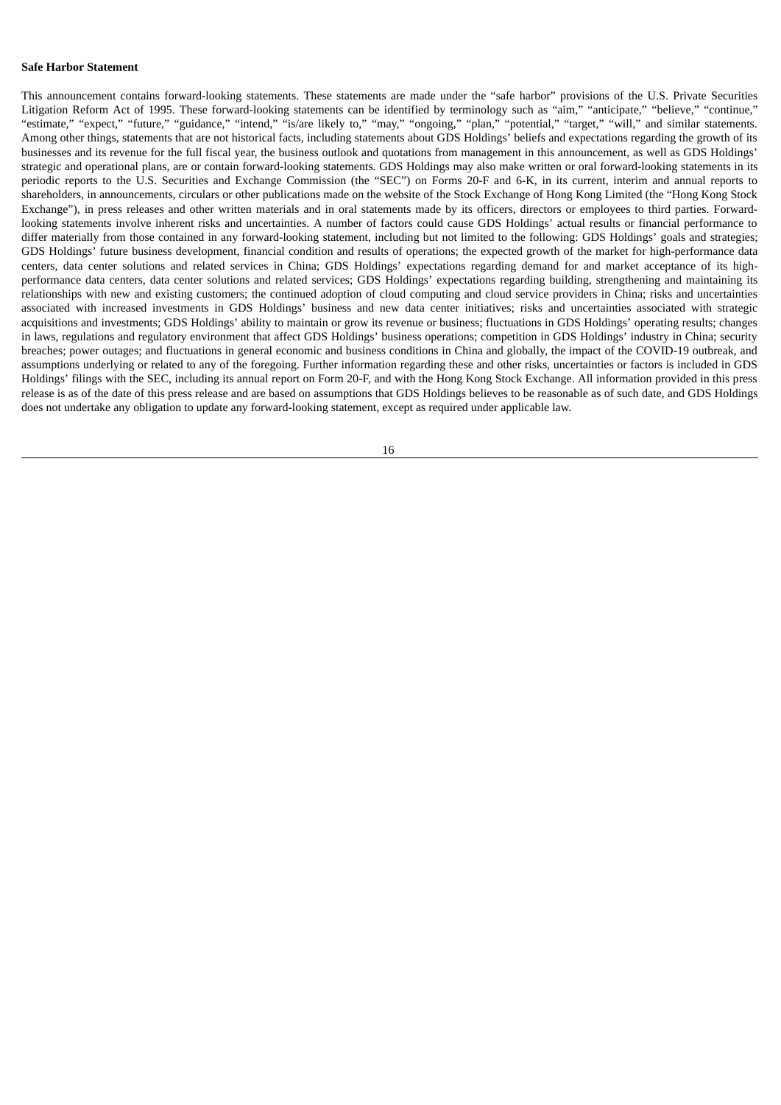#### **Safe Harbor Statement**

This announcement contains forward-looking statements. These statements are made under the "safe harbor" provisions of the U.S. Private Securities Litigation Reform Act of 1995. These forward-looking statements can be identified by terminology such as "aim," "anticipate," "believe," "continue," "estimate," "expect," "future," "guidance," "intend," "is/are likely to," "may," "ongoing," "plan," "potential," "target," "will," and similar statements. Among other things, statements that are not historical facts, including statements about GDS Holdings' beliefs and expectations regarding the growth of its businesses and its revenue for the full fiscal year, the business outlook and quotations from management in this announcement, as well as GDS Holdings' strategic and operational plans, are or contain forward-looking statements. GDS Holdings may also make written or oral forward-looking statements in its periodic reports to the U.S. Securities and Exchange Commission (the "SEC") on Forms 20-F and 6-K, in its current, interim and annual reports to shareholders, in announcements, circulars or other publications made on the website of the Stock Exchange of Hong Kong Limited (the "Hong Kong Stock Exchange"), in press releases and other written materials and in oral statements made by its officers, directors or employees to third parties. Forwardlooking statements involve inherent risks and uncertainties. A number of factors could cause GDS Holdings' actual results or financial performance to differ materially from those contained in any forward-looking statement, including but not limited to the following: GDS Holdings' goals and strategies; GDS Holdings' future business development, financial condition and results of operations; the expected growth of the market for high-performance data centers, data center solutions and related services in China; GDS Holdings' expectations regarding demand for and market acceptance of its highperformance data centers, data center solutions and related services; GDS Holdings' expectations regarding building, strengthening and maintaining its relationships with new and existing customers; the continued adoption of cloud computing and cloud service providers in China; risks and uncertainties associated with increased investments in GDS Holdings' business and new data center initiatives; risks and uncertainties associated with strategic acquisitions and investments; GDS Holdings' ability to maintain or grow its revenue or business; fluctuations in GDS Holdings' operating results; changes in laws, regulations and regulatory environment that affect GDS Holdings' business operations; competition in GDS Holdings' industry in China; security breaches; power outages; and fluctuations in general economic and business conditions in China and globally, the impact of the COVID-19 outbreak, and assumptions underlying or related to any of the foregoing. Further information regarding these and other risks, uncertainties or factors is included in GDS Holdings' filings with the SEC, including its annual report on Form 20-F, and with the Hong Kong Stock Exchange. All information provided in this press release is as of the date of this press release and are based on assumptions that GDS Holdings believes to be reasonable as of such date, and GDS Holdings does not undertake any obligation to update any forward-looking statement, except as required under applicable law.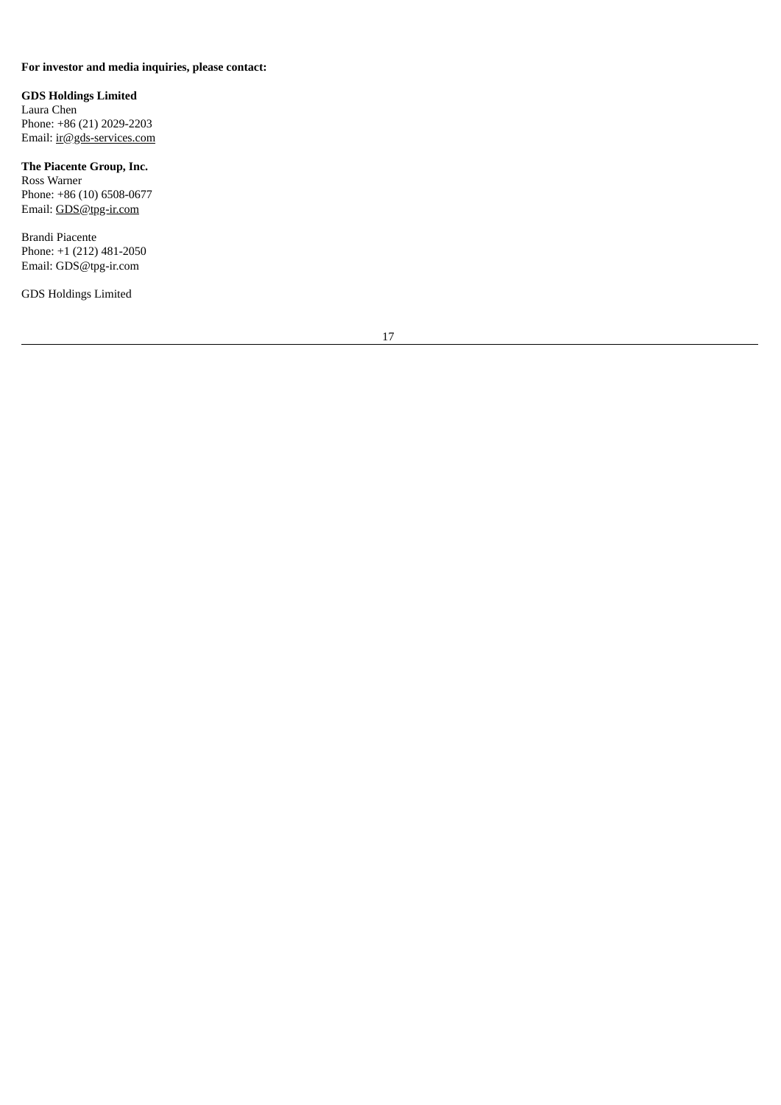**For investor and media inquiries, please contact:**

#### **GDS Holdings Limited** Laura Chen

Phone: +86 (21) 2029-2203 Email: ir@gds-services.com

# **The Piacente Group, Inc.**

Ross Warner Phone: +86 (10) 6508-0677 Email: GDS@tpg-ir.com

Brandi Piacente Phone: +1 (212) 481-2050 Email: GDS@tpg-ir.com

GDS Holdings Limited

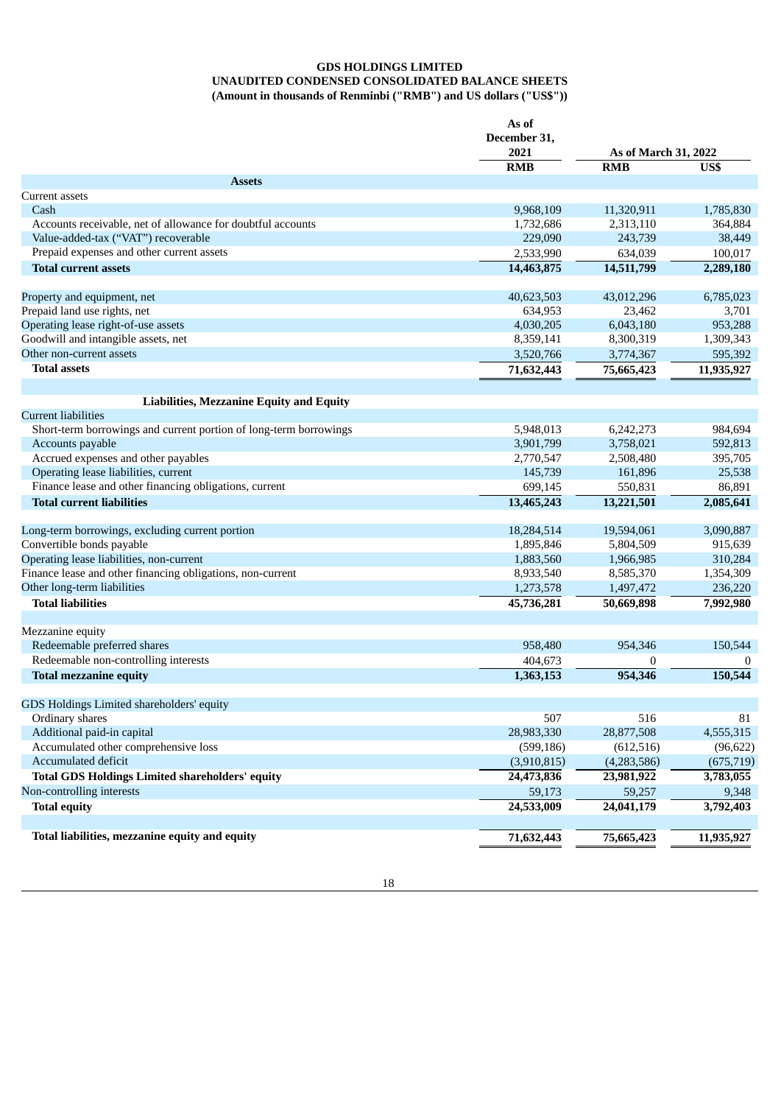## **GDS HOLDINGS LIMITED UNAUDITED CONDENSED CONSOLIDATED BALANCE SHEETS (Amount in thousands of Renminbi ("RMB") and US dollars ("US\$"))**

|                                                                   | As of<br>December 31,<br>2021 | As of March 31, 2022 |            |
|-------------------------------------------------------------------|-------------------------------|----------------------|------------|
|                                                                   | <b>RMB</b>                    | <b>RMB</b>           | US\$       |
| <b>Assets</b>                                                     |                               |                      |            |
| Current assets                                                    |                               |                      |            |
| Cash                                                              | 9,968,109                     | 11,320,911           | 1,785,830  |
| Accounts receivable, net of allowance for doubtful accounts       | 1,732,686                     | 2,313,110            | 364,884    |
| Value-added-tax ("VAT") recoverable                               | 229,090                       | 243,739              | 38,449     |
| Prepaid expenses and other current assets                         | 2,533,990                     | 634,039              | 100,017    |
| <b>Total current assets</b>                                       | 14,463,875                    | 14,511,799           | 2,289,180  |
| Property and equipment, net                                       | 40,623,503                    | 43,012,296           | 6,785,023  |
| Prepaid land use rights, net                                      | 634,953                       | 23,462               | 3,701      |
| Operating lease right-of-use assets                               | 4,030,205                     | 6,043,180            | 953,288    |
| Goodwill and intangible assets, net                               | 8,359,141                     | 8,300,319            | 1,309,343  |
| Other non-current assets                                          | 3,520,766                     | 3,774,367            | 595,392    |
| <b>Total assets</b>                                               | 71,632,443                    | 75,665,423           | 11,935,927 |
|                                                                   |                               |                      |            |
| <b>Liabilities, Mezzanine Equity and Equity</b>                   |                               |                      |            |
| <b>Current liabilities</b>                                        |                               |                      |            |
| Short-term borrowings and current portion of long-term borrowings | 5,948,013                     | 6,242,273            | 984,694    |
| Accounts payable                                                  | 3,901,799                     | 3,758,021            | 592,813    |
| Accrued expenses and other payables                               | 2,770,547                     | 2,508,480            | 395,705    |
| Operating lease liabilities, current                              | 145,739                       | 161,896              | 25,538     |
| Finance lease and other financing obligations, current            | 699,145                       | 550,831              | 86,891     |
| <b>Total current liabilities</b>                                  | 13,465,243                    | 13,221,501           | 2,085,641  |
|                                                                   |                               |                      |            |
| Long-term borrowings, excluding current portion                   | 18,284,514                    | 19,594,061           | 3,090,887  |
| Convertible bonds payable                                         | 1,895,846                     | 5,804,509            | 915,639    |
| Operating lease liabilities, non-current                          | 1,883,560                     | 1,966,985            | 310,284    |
| Finance lease and other financing obligations, non-current        | 8,933,540                     | 8,585,370            | 1,354,309  |
| Other long-term liabilities                                       | 1,273,578                     | 1,497,472            | 236,220    |
| <b>Total liabilities</b>                                          | 45,736,281                    | 50,669,898           | 7,992,980  |
| Mezzanine equity                                                  |                               |                      |            |
| Redeemable preferred shares                                       | 958,480                       | 954,346              | 150,544    |
| Redeemable non-controlling interests                              | 404,673                       | $\bf{0}$             |            |
| <b>Total mezzanine equity</b>                                     | 1,363,153                     | 954,346              | 150,544    |
|                                                                   |                               |                      |            |
| GDS Holdings Limited shareholders' equity                         |                               |                      |            |
| Ordinary shares                                                   | 507                           | 516                  | 81         |
| Additional paid-in capital                                        | 28,983,330                    | 28,877,508           | 4,555,315  |
| Accumulated other comprehensive loss                              | (599, 186)                    | (612, 516)           | (96, 622)  |
| Accumulated deficit                                               | (3,910,815)                   | (4,283,586)          | (675, 719) |
| <b>Total GDS Holdings Limited shareholders' equity</b>            | 24,473,836                    | 23,981,922           | 3,783,055  |
| Non-controlling interests                                         | 59,173                        | 59,257               | 9,348      |
| <b>Total equity</b>                                               | 24,533,009                    | 24,041,179           | 3,792,403  |
|                                                                   |                               |                      |            |
| Total liabilities, mezzanine equity and equity                    | 71,632,443                    | 75,665,423           | 11,935,927 |
|                                                                   |                               |                      |            |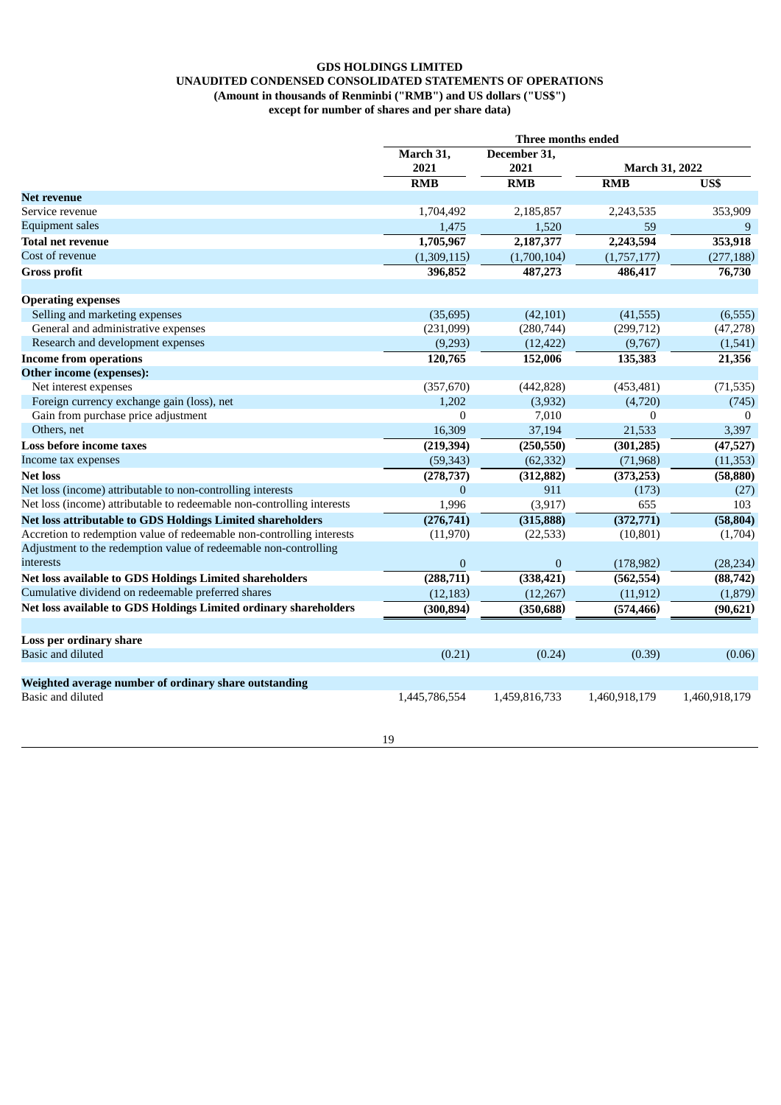## **GDS HOLDINGS LIMITED UNAUDITED CONDENSED CONSOLIDATED STATEMENTS OF OPERATIONS (Amount in thousands of Renminbi ("RMB") and US dollars ("US\$") except for number of shares and per share data)**

|                                                                        | Three months ended |                |                       |               |
|------------------------------------------------------------------------|--------------------|----------------|-----------------------|---------------|
|                                                                        | March 31,          | December 31,   |                       |               |
|                                                                        | 2021               | 2021           | <b>March 31, 2022</b> |               |
|                                                                        | <b>RMB</b>         | <b>RMB</b>     | <b>RMB</b>            | US\$          |
| <b>Net revenue</b>                                                     |                    |                |                       |               |
| Service revenue                                                        | 1,704,492          | 2,185,857      | 2,243,535             | 353,909       |
| <b>Equipment sales</b>                                                 | 1,475              | 1,520          | 59                    | 9             |
| <b>Total net revenue</b>                                               | 1,705,967          | 2,187,377      | 2,243,594             | 353,918       |
| Cost of revenue                                                        | (1,309,115)        | (1,700,104)    | (1,757,177)           | (277, 188)    |
| <b>Gross profit</b>                                                    | 396,852            | 487,273        | 486,417               | 76,730        |
| <b>Operating expenses</b>                                              |                    |                |                       |               |
| Selling and marketing expenses                                         | (35,695)           | (42, 101)      | (41, 555)             | (6, 555)      |
| General and administrative expenses                                    | (231,099)          | (280, 744)     | (299, 712)            | (47, 278)     |
| Research and development expenses                                      | (9,293)            | (12, 422)      | (9,767)               | (1,541)       |
| <b>Income from operations</b>                                          | 120,765            | 152,006        | 135,383               | 21,356        |
| Other income (expenses):                                               |                    |                |                       |               |
| Net interest expenses                                                  | (357, 670)         | (442, 828)     | (453, 481)            | (71, 535)     |
| Foreign currency exchange gain (loss), net                             | 1,202              | (3,932)        | (4,720)               | (745)         |
| Gain from purchase price adjustment                                    | $\Omega$           | 7,010          | $\mathbf{0}$          | $\Omega$      |
| Others, net                                                            | 16,309             | 37,194         | 21,533                | 3,397         |
| Loss before income taxes                                               | (219, 394)         | (250, 550)     | (301, 285)            | (47, 527)     |
| Income tax expenses                                                    | (59, 343)          | (62, 332)      | (71,968)              | (11, 353)     |
| <b>Net loss</b>                                                        | (278, 737)         | (312, 882)     | (373, 253)            | (58, 880)     |
| Net loss (income) attributable to non-controlling interests            | $\Omega$           | 911            | (173)                 | (27)          |
| Net loss (income) attributable to redeemable non-controlling interests | 1,996              | (3, 917)       | 655                   | 103           |
| Net loss attributable to GDS Holdings Limited shareholders             | (276, 741)         | (315, 888)     | (372, 771)            | (58, 804)     |
| Accretion to redemption value of redeemable non-controlling interests  | (11,970)           | (22, 533)      | (10, 801)             | (1,704)       |
| Adjustment to the redemption value of redeemable non-controlling       |                    |                |                       |               |
| interests                                                              | $\overline{0}$     | $\overline{0}$ | (178, 982)            | (28, 234)     |
| Net loss available to GDS Holdings Limited shareholders                | (288,711)          | (338, 421)     | (562, 554)            | (88, 742)     |
| Cumulative dividend on redeemable preferred shares                     | (12, 183)          | (12, 267)      | (11, 912)             | (1,879)       |
| Net loss available to GDS Holdings Limited ordinary shareholders       | (300, 894)         | (350, 688)     | (574, 466)            | (90,621)      |
| Loss per ordinary share                                                |                    |                |                       |               |
| <b>Basic and diluted</b>                                               | (0.21)             | (0.24)         | (0.39)                | (0.06)        |
| Weighted average number of ordinary share outstanding                  |                    |                |                       |               |
| Basic and diluted                                                      | 1,445,786,554      | 1,459,816,733  | 1,460,918,179         | 1,460,918,179 |
|                                                                        |                    |                |                       |               |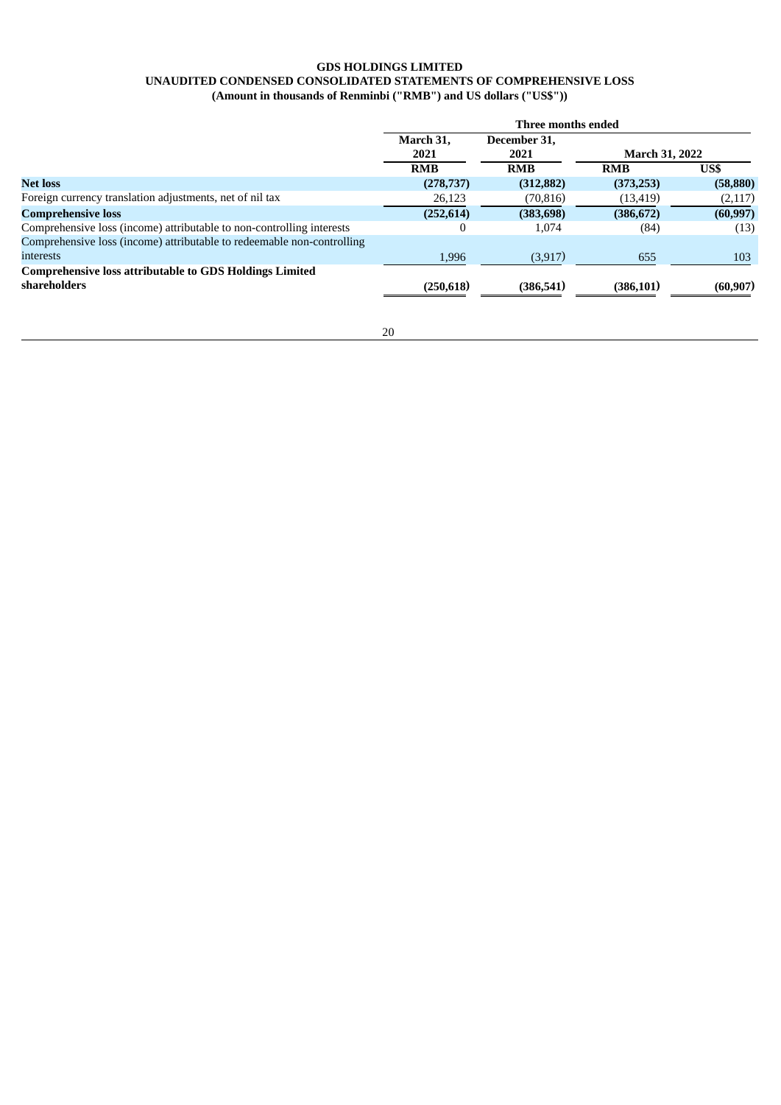## **GDS HOLDINGS LIMITED UNAUDITED CONDENSED CONSOLIDATED STATEMENTS OF COMPREHENSIVE LOSS (Amount in thousands of Renminbi ("RMB") and US dollars ("US\$"))**

|                                                                        | Three months ended |                      |            |                       |  |
|------------------------------------------------------------------------|--------------------|----------------------|------------|-----------------------|--|
|                                                                        | March 31,<br>2021  | December 31.<br>2021 |            | <b>March 31, 2022</b> |  |
|                                                                        | <b>RMB</b>         | <b>RMB</b>           | <b>RMB</b> | US\$                  |  |
| <b>Net loss</b>                                                        | (278, 737)         | (312, 882)           | (373, 253) | (58, 880)             |  |
| Foreign currency translation adjustments, net of nil tax               | 26,123             | (70, 816)            | (13, 419)  | (2,117)               |  |
| <b>Comprehensive loss</b>                                              | (252, 614)         | (383, 698)           | (386, 672) | (60, 997)             |  |
| Comprehensive loss (income) attributable to non-controlling interests  |                    | 1,074                | (84)       | (13)                  |  |
| Comprehensive loss (income) attributable to redeemable non-controlling |                    |                      |            |                       |  |
| interests                                                              | 1,996              | (3, 917)             | 655        | 103                   |  |
| <b>Comprehensive loss attributable to GDS Holdings Limited</b>         |                    |                      |            |                       |  |
| shareholders                                                           | (250, 618)         | (386, 541)           | (386, 101) | (60, 907)             |  |
|                                                                        |                    |                      |            |                       |  |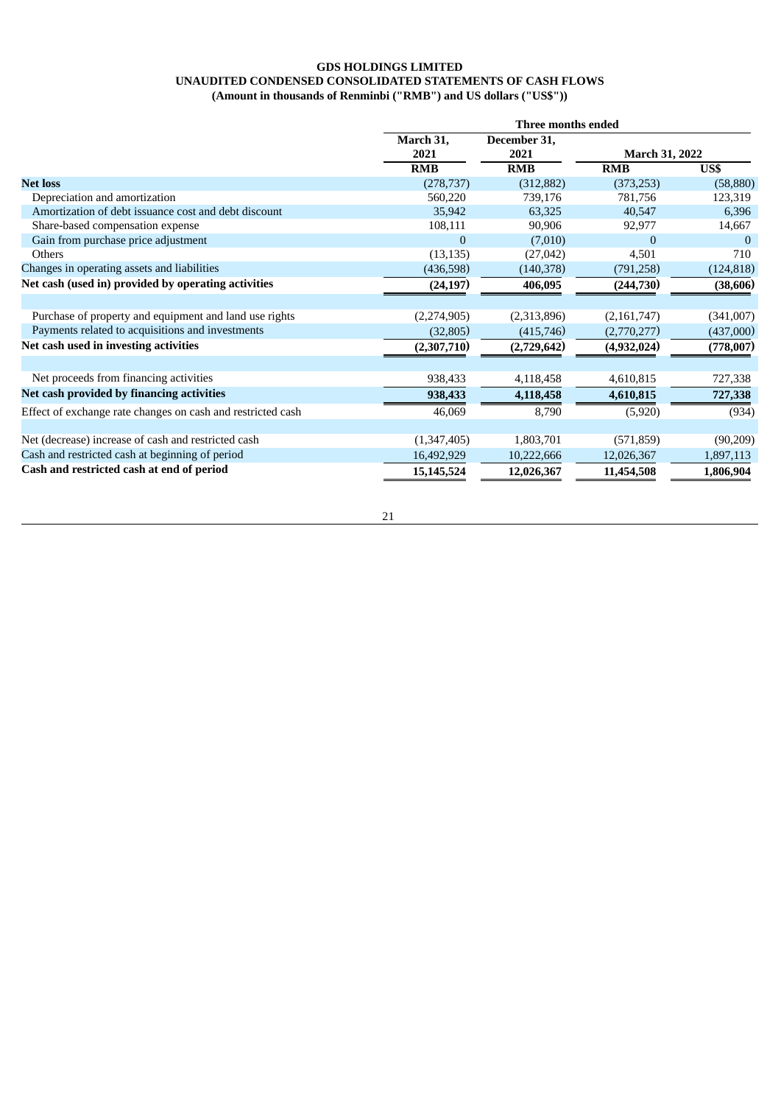## **GDS HOLDINGS LIMITED UNAUDITED CONDENSED CONSOLIDATED STATEMENTS OF CASH FLOWS (Amount in thousands of Renminbi ("RMB") and US dollars ("US\$"))**

|                                                             | Three months ended |                      |                       |            |
|-------------------------------------------------------------|--------------------|----------------------|-----------------------|------------|
|                                                             | March 31,<br>2021  | December 31,<br>2021 | <b>March 31, 2022</b> |            |
|                                                             | <b>RMB</b>         | <b>RMB</b>           | <b>RMB</b>            | US\$       |
| <b>Net loss</b>                                             | (278, 737)         | (312, 882)           | (373, 253)            | (58, 880)  |
| Depreciation and amortization                               | 560,220            | 739,176              | 781,756               | 123,319    |
| Amortization of debt issuance cost and debt discount        | 35,942             | 63,325               | 40,547                | 6,396      |
| Share-based compensation expense                            | 108,111            | 90,906               | 92,977                | 14,667     |
| Gain from purchase price adjustment                         | $\theta$           | (7,010)              | $\overline{0}$        | $\Omega$   |
| <b>Others</b>                                               | (13, 135)          | (27, 042)            | 4,501                 | 710        |
| Changes in operating assets and liabilities                 | (436,598)          | (140, 378)           | (791, 258)            | (124, 818) |
| Net cash (used in) provided by operating activities         | (24, 197)          | 406,095              | (244,730)             | (38,606)   |
|                                                             |                    |                      |                       |            |
| Purchase of property and equipment and land use rights      | (2,274,905)        | (2,313,896)          | (2,161,747)           | (341,007)  |
| Payments related to acquisitions and investments            | (32,805)           | (415,746)            | (2,770,277)           | (437,000)  |
| Net cash used in investing activities                       | (2,307,710)        | (2,729,642)          | (4,932,024)           | (778,007)  |
|                                                             |                    |                      |                       |            |
| Net proceeds from financing activities                      | 938,433            | 4,118,458            | 4,610,815             | 727,338    |
| Net cash provided by financing activities                   | 938,433            | 4,118,458            | 4,610,815             | 727,338    |
| Effect of exchange rate changes on cash and restricted cash | 46,069             | 8,790                | (5,920)               | (934)      |
|                                                             |                    |                      |                       |            |
| Net (decrease) increase of cash and restricted cash         | (1,347,405)        | 1,803,701            | (571, 859)            | (90, 209)  |
| Cash and restricted cash at beginning of period             | 16,492,929         | 10,222,666           | 12,026,367            | 1,897,113  |
| Cash and restricted cash at end of period                   | 15,145,524         | 12,026,367           | 11,454,508            | 1,806,904  |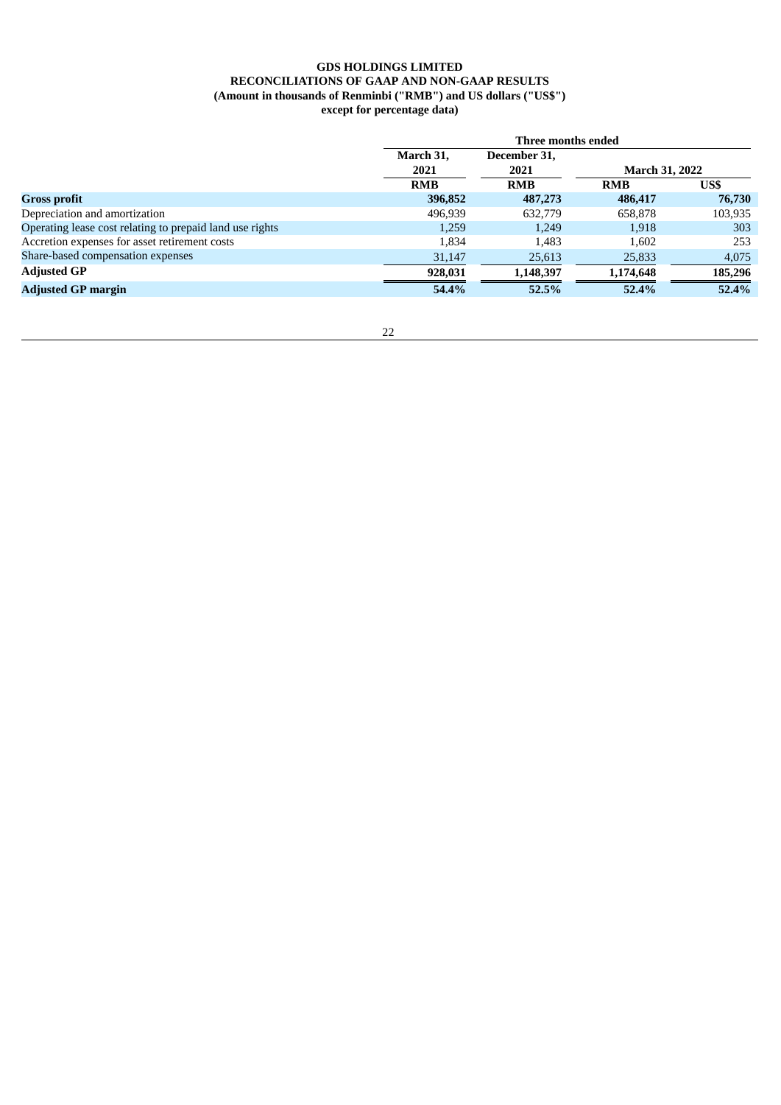## **GDS HOLDINGS LIMITED RECONCILIATIONS OF GAAP AND NON-GAAP RESULTS (Amount in thousands of Renminbi ("RMB") and US dollars ("US\$") except for percentage data)**

|                                                          | Three months ended |              |                       |         |
|----------------------------------------------------------|--------------------|--------------|-----------------------|---------|
|                                                          | March 31,          | December 31, |                       |         |
|                                                          | 2021               | 2021         | <b>March 31, 2022</b> |         |
|                                                          | <b>RMB</b>         | <b>RMB</b>   | <b>RMB</b>            | US\$    |
| <b>Gross profit</b>                                      | 396,852            | 487,273      | 486,417               | 76,730  |
| Depreciation and amortization                            | 496,939            | 632,779      | 658,878               | 103,935 |
| Operating lease cost relating to prepaid land use rights | 1,259              | 1.249        | 1,918                 | 303     |
| Accretion expenses for asset retirement costs            | 1,834              | 1,483        | 1,602                 | 253     |
| Share-based compensation expenses                        | 31,147             | 25,613       | 25,833                | 4,075   |
| <b>Adjusted GP</b>                                       | 928,031            | 1,148,397    | 1,174,648             | 185,296 |
| <b>Adjusted GP margin</b>                                | 54.4%              | 52.5%        | 52.4%                 | 52.4%   |